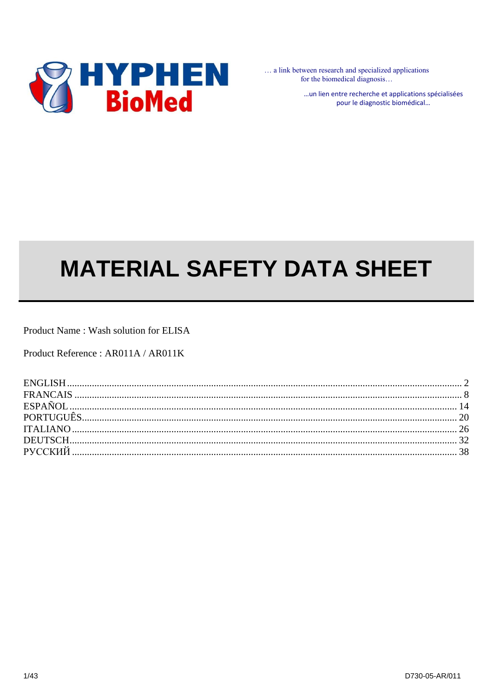

... a link between research and specialized applications for the biomedical diagnosis...

> ... un lien entre recherche et applications spécialisées pour le diagnostic biomédical...

# **MATERIAL SAFETY DATA SHEET**

Product Name: Wash solution for ELISA

Product Reference: AR011A / AR011K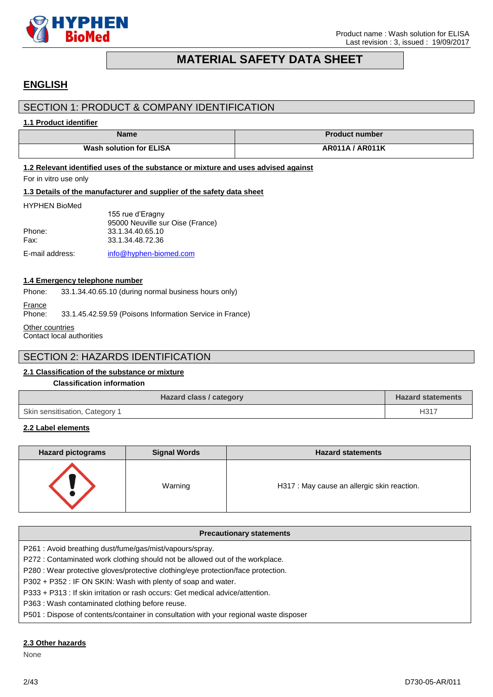

# **MATERIAL SAFETY DATA SHEET**

# <span id="page-1-0"></span>**ENGLISH**

# SECTION 1: PRODUCT & COMPANY IDENTIFICATION

# **1.1 Product identifier**

| <b>Name</b>                    | <b>Product number</b>  |
|--------------------------------|------------------------|
| <b>Wash solution for ELISA</b> | <b>AR011A / AR011K</b> |

# **1.2 Relevant identified uses of the substance or mixture and uses advised against**

For in vitro use only

# **1.3 Details of the manufacturer and supplier of the safety data sheet**

#### HYPHEN BioMed

|                   | 155 rue d'Eragny<br>95000 Neuville sur Oise (France) |
|-------------------|------------------------------------------------------|
| Phone:            | 33.1.34.40.65.10                                     |
| Fax:              | 33.1.34.48.72.36                                     |
| $E$ moil addraga: | $infa\otimes h$ into $\otimes$                       |

E-mail address: [info@hyphen-biomed.com](mailto:info@hyphen-biomed.com)

# **1.4 Emergency telephone number**

Phone: 33.1.34.40.65.10 (during normal business hours only)

```
France<br>Phone:
```
33.1.45.42.59.59 (Poisons Information Service in France)

**Other countries** 

Contact local authorities

# SECTION 2: HAZARDS IDENTIFICATION

# **2.1 Classification of the substance or mixture**

**Classification information**

| Hazard class / category        | <b>Hazard statements</b> |
|--------------------------------|--------------------------|
| Skin sensitisation, Category 1 | H <sub>317</sub>         |

# **2.2 Label elements**

| <b>Hazard pictograms</b> | <b>Signal Words</b> | <b>Hazard statements</b>                    |
|--------------------------|---------------------|---------------------------------------------|
|                          | Warning             | H317 : May cause an allergic skin reaction. |

| <b>Precautionary statements</b>                                                        |
|----------------------------------------------------------------------------------------|
| P261: Avoid breathing dust/fume/gas/mist/vapours/spray.                                |
| P272 : Contaminated work clothing should not be allowed out of the workplace.          |
| P280 : Wear protective gloves/protective clothing/eye protection/face protection.      |
| P302 + P352 : IF ON SKIN: Wash with plenty of soap and water.                          |
| P333 + P313 : If skin irritation or rash occurs: Get medical advice/attention.         |
| P363 : Wash contaminated clothing before reuse.                                        |
| P501 : Dispose of contents/container in consultation with your regional waste disposer |

# **2.3 Other hazards**

None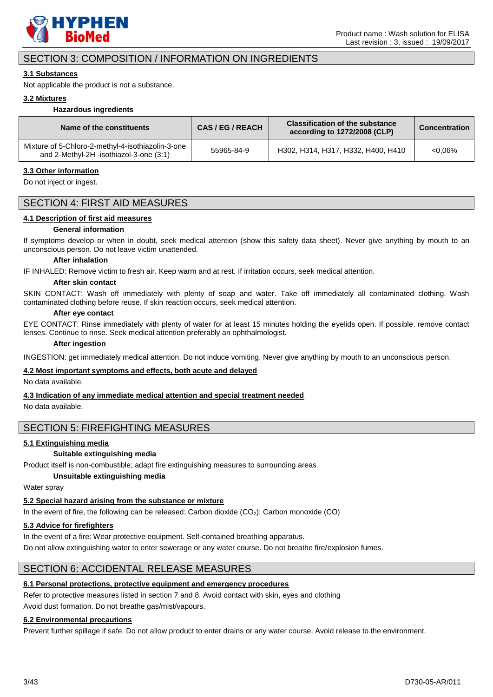

# SECTION 3: COMPOSITION / INFORMATION ON INGREDIENTS

# **3.1 Substances**

Not applicable the product is not a substance.

# **3.2 Mixtures**

# **Hazardous ingredients**

| Name of the constituents                                                                     | CAS/EG/REACH | <b>Classification of the substance</b><br>according to 1272/2008 (CLP) | <b>Concentration</b> |
|----------------------------------------------------------------------------------------------|--------------|------------------------------------------------------------------------|----------------------|
| Mixture of 5-Chloro-2-methyl-4-isothiazolin-3-one<br>and 2-Methyl-2H -isothiazol-3-one (3:1) | 55965-84-9   | H302, H314, H317, H332, H400, H410                                     | $< 0.06\%$           |

### **3.3 Other information**

Do not inject or ingest.

# SECTION 4: FIRST AID MEASURES

# **4.1 Description of first aid measures**

### **General information**

If symptoms develop or when in doubt, seek medical attention (show this safety data sheet). Never give anything by mouth to an unconscious person. Do not leave victim unattended.

# **After inhalation**

IF INHALED: Remove victim to fresh air. Keep warm and at rest. If irritation occurs, seek medical attention.

# **After skin contact**

SKIN CONTACT: Wash off immediately with plenty of soap and water. Take off immediately all contaminated clothing. Wash contaminated clothing before reuse. If skin reaction occurs, seek medical attention.

### **After eye contact**

EYE CONTACT: Rinse immediately with plenty of water for at least 15 minutes holding the eyelids open. If possible. remove contact lenses. Continue to rinse. Seek medical attention preferably an ophthalmologist.

#### **After ingestion**

INGESTION: get immediately medical attention. Do not induce vomiting. Never give anything by mouth to an unconscious person.

### **4.2 Most important symptoms and effects, both acute and delayed**

No data available.

### **4.3 Indication of any immediate medical attention and special treatment needed**

No data available.

# SECTION 5: FIREFIGHTING MEASURES

### **5.1 Extinguishing media**

### **Suitable extinguishing media**

Product itself is non-combustible; adapt fire extinguishing measures to surrounding areas

**Unsuitable extinguishing media**

Water spray

### **5.2 Special hazard arising from the substance or mixture**

In the event of fire, the following can be released: Carbon dioxide  $(CO<sub>2</sub>)$ ; Carbon monoxide  $(CO)$ 

# **5.3 Advice for firefighters**

In the event of a fire: Wear protective equipment. Self-contained breathing apparatus.

Do not allow extinguishing water to enter sewerage or any water course. Do not breathe fire/explosion fumes.

# SECTION 6: ACCIDENTAL RELEASE MEASURES

# **6.1 Personal protections, protective equipment and emergency procedures**

Refer to protective measures listed in section 7 and 8. Avoid contact with skin, eyes and clothing

Avoid dust formation. Do not breathe gas/mist/vapours.

# **6.2 Environmental precautions**

Prevent further spillage if safe. Do not allow product to enter drains or any water course. Avoid release to the environment.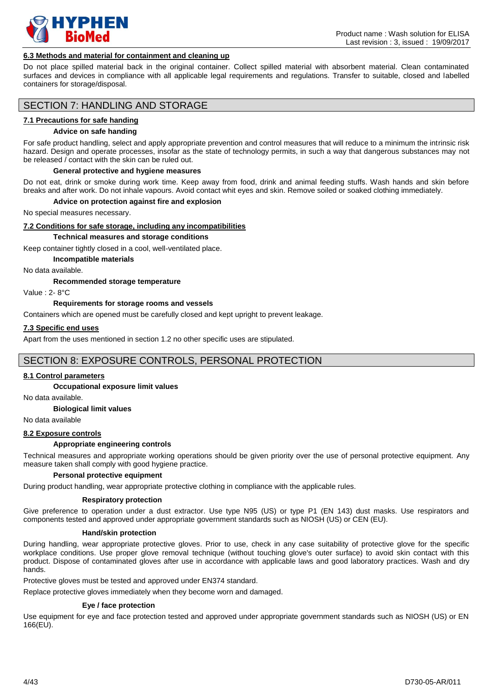

# **6.3 Methods and material for containment and cleaning up**

Do not place spilled material back in the original container. Collect spilled material with absorbent material. Clean contaminated surfaces and devices in compliance with all applicable legal requirements and regulations. Transfer to suitable, closed and labelled containers for storage/disposal.

# SECTION 7: HANDLING AND STORAGE

# **7.1 Precautions for safe handing**

# **Advice on safe handing**

For safe product handling, select and apply appropriate prevention and control measures that will reduce to a minimum the intrinsic risk hazard. Design and operate processes, insofar as the state of technology permits, in such a way that dangerous substances may not be released / contact with the skin can be ruled out.

### **General protective and hygiene measures**

Do not eat, drink or smoke during work time. Keep away from food, drink and animal feeding stuffs. Wash hands and skin before breaks and after work. Do not inhale vapours. Avoid contact whit eyes and skin. Remove soiled or soaked clothing immediately.

### **Advice on protection against fire and explosion**

No special measures necessary.

# **7.2 Conditions for safe storage, including any incompatibilities**

### **Technical measures and storage conditions**

Keep container tightly closed in a cool, well-ventilated place.

**Incompatible materials**

No data available.

### **Recommended storage temperature**

Value : 2- 8°C

### **Requirements for storage rooms and vessels**

Containers which are opened must be carefully closed and kept upright to prevent leakage.

### **7.3 Specific end uses**

Apart from the uses mentioned in section 1.2 no other specific uses are stipulated.

# SECTION 8: EXPOSURE CONTROLS, PERSONAL PROTECTION

### **8.1 Control parameters**

**Occupational exposure limit values** 

### No data available.

**Biological limit values**

No data available

# **8.2 Exposure controls**

### **Appropriate engineering controls**

Technical measures and appropriate working operations should be given priority over the use of personal protective equipment. Any measure taken shall comply with good hygiene practice.

# **Personal protective equipment**

During product handling, wear appropriate protective clothing in compliance with the applicable rules.

### **Respiratory protection**

Give preference to operation under a dust extractor. Use type N95 (US) or type P1 (EN 143) dust masks. Use respirators and components tested and approved under appropriate government standards such as NIOSH (US) or CEN (EU).

#### **Hand/skin protection**

During handling, wear appropriate protective gloves. Prior to use, check in any case suitability of protective glove for the specific workplace conditions. Use proper glove removal technique (without touching glove's outer surface) to avoid skin contact with this product. Dispose of contaminated gloves after use in accordance with applicable laws and good laboratory practices. Wash and dry hands.

Protective gloves must be tested and approved under EN374 standard.

Replace protective gloves immediately when they become worn and damaged.

### **Eye / face protection**

Use equipment for eye and face protection tested and approved under appropriate government standards such as NIOSH (US) or EN 166(EU).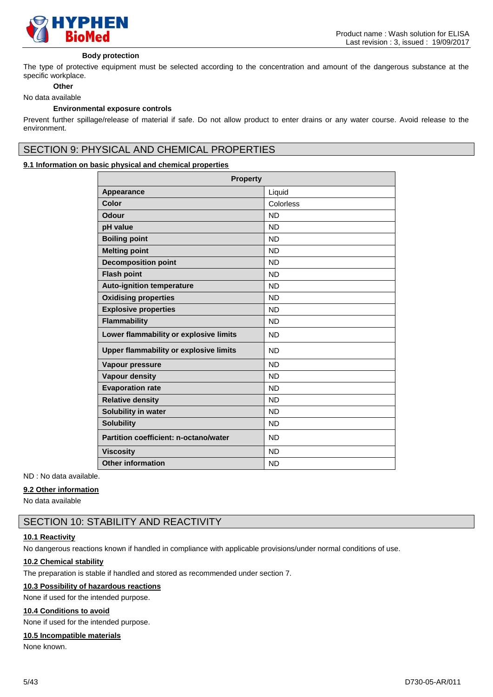

### **Body protection**

The type of protective equipment must be selected according to the concentration and amount of the dangerous substance at the specific workplace.

# **Other**

No data available

# **Environmental exposure controls**

Prevent further spillage/release of material if safe. Do not allow product to enter drains or any water course. Avoid release to the environment.

# SECTION 9: PHYSICAL AND CHEMICAL PROPERTIES

# **9.1 Information on basic physical and chemical properties**

| <b>Property</b>                               |           |
|-----------------------------------------------|-----------|
| Appearance                                    | Liquid    |
| Color                                         | Colorless |
| Odour                                         | <b>ND</b> |
| pH value                                      | <b>ND</b> |
| <b>Boiling point</b>                          | <b>ND</b> |
| <b>Melting point</b>                          | <b>ND</b> |
| <b>Decomposition point</b>                    | <b>ND</b> |
| <b>Flash point</b>                            | <b>ND</b> |
| <b>Auto-ignition temperature</b>              | <b>ND</b> |
| <b>Oxidising properties</b>                   | <b>ND</b> |
| <b>Explosive properties</b>                   | <b>ND</b> |
| <b>Flammability</b>                           | <b>ND</b> |
| Lower flammability or explosive limits        | <b>ND</b> |
| <b>Upper flammability or explosive limits</b> | <b>ND</b> |
| Vapour pressure                               | <b>ND</b> |
| <b>Vapour density</b>                         | <b>ND</b> |
| <b>Evaporation rate</b>                       | <b>ND</b> |
| <b>Relative density</b>                       | <b>ND</b> |
| Solubility in water                           | <b>ND</b> |
| <b>Solubility</b>                             | <b>ND</b> |
| Partition coefficient: n-octano/water         | <b>ND</b> |
| <b>Viscosity</b>                              | <b>ND</b> |
| <b>Other information</b>                      | <b>ND</b> |

# ND : No data available.

### **9.2 Other information**

No data available

# SECTION 10: STABILITY AND REACTIVITY

# **10.1 Reactivity**

No dangerous reactions known if handled in compliance with applicable provisions/under normal conditions of use.

### **10.2 Chemical stability**

The preparation is stable if handled and stored as recommended under section 7.

# **10.3 Possibility of hazardous reactions**

None if used for the intended purpose.

# **10.4 Conditions to avoid**

None if used for the intended purpose.

# **10.5 Incompatible materials**

None known.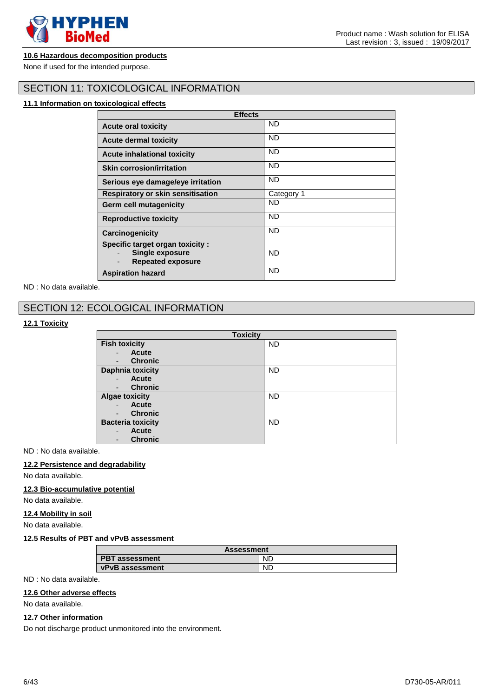

None if used for the intended purpose.

# Last revision : 3, issued : 19/09/2017

Product name : Wash solution for ELISA

# SECTION 11: TOXICOLOGICAL INFORMATION

# **11.1 Information on toxicological effects**

| <b>Effects</b>                                                                        |            |
|---------------------------------------------------------------------------------------|------------|
| <b>Acute oral toxicity</b>                                                            | <b>ND</b>  |
| <b>Acute dermal toxicity</b>                                                          | <b>ND</b>  |
| <b>Acute inhalational toxicity</b>                                                    | <b>ND</b>  |
| <b>Skin corrosion/irritation</b>                                                      | <b>ND</b>  |
| Serious eye damage/eye irritation                                                     | <b>ND</b>  |
| Respiratory or skin sensitisation                                                     | Category 1 |
| <b>Germ cell mutagenicity</b>                                                         | ND         |
| <b>Reproductive toxicity</b>                                                          | <b>ND</b>  |
| Carcinogenicity                                                                       | <b>ND</b>  |
| <b>Specific target organ toxicity:</b><br>Single exposure<br><b>Repeated exposure</b> | <b>ND</b>  |
| <b>Aspiration hazard</b>                                                              | <b>ND</b>  |

ND : No data available.

# SECTION 12: ECOLOGICAL INFORMATION

# **12.1 Toxicity**

| <b>Toxicity</b>                                |           |
|------------------------------------------------|-----------|
| <b>Fish toxicity</b>                           | <b>ND</b> |
| Acute<br>$\blacksquare$                        |           |
| <b>Chronic</b><br>$\qquad \qquad \blacksquare$ |           |
| <b>Daphnia toxicity</b>                        | <b>ND</b> |
| Acute<br>$\overline{\phantom{0}}$              |           |
| <b>Chronic</b><br>$\qquad \qquad \blacksquare$ |           |
| <b>Algae toxicity</b>                          | <b>ND</b> |
| <b>Acute</b><br>$\blacksquare$                 |           |
| <b>Chronic</b><br>$\qquad \qquad \blacksquare$ |           |
| <b>Bacteria toxicity</b>                       | <b>ND</b> |
| <b>Acute</b><br>$\overline{\phantom{0}}$       |           |
| <b>Chronic</b><br>$\overline{\phantom{0}}$     |           |

ND : No data available.

# **12.2 Persistence and degradability**

No data available.

# **12.3 Bio-accumulative potential**

No data available.

# **12.4 Mobility in soil**

No data available.

# **12.5 Results of PBT and vPvB assessment**

| <b>Assessment</b>      |           |
|------------------------|-----------|
| <b>PBT</b> assessment  | <b>ND</b> |
| <b>vPvB</b> assessment | <b>ND</b> |

ND : No data available.

# **12.6 Other adverse effects**

No data available.

### **12.7 Other information**

Do not discharge product unmonitored into the environment.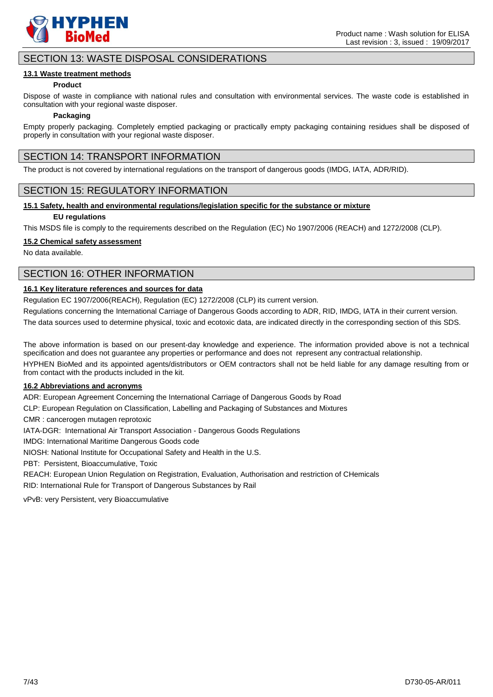

# SECTION 13: WASTE DISPOSAL CONSIDERATIONS

# **13.1 Waste treatment methods**

# **Product**

Dispose of waste in compliance with national rules and consultation with environmental services. The waste code is established in consultation with your regional waste disposer.

# **Packaging**

Empty properly packaging. Completely emptied packaging or practically empty packaging containing residues shall be disposed of properly in consultation with your regional waste disposer.

# SECTION 14: TRANSPORT INFORMATION

The product is not covered by international regulations on the transport of dangerous goods (IMDG, IATA, ADR/RID).

# SECTION 15: REGULATORY INFORMATION

# **15.1 Safety, health and environmental regulations/legislation specific for the substance or mixture**

# **EU regulations**

This MSDS file is comply to the requirements described on the Regulation (EC) No 1907/2006 (REACH) and 1272/2008 (CLP).

# **15.2 Chemical safety assessment**

No data available.

# SECTION 16: OTHER INFORMATION

# **16.1 Key literature references and sources for data**

Regulation EC 1907/2006(REACH), Regulation (EC) 1272/2008 (CLP) its current version.

Regulations concerning the International Carriage of Dangerous Goods according to ADR, RID, IMDG, IATA in their current version.

The data sources used to determine physical, toxic and ecotoxic data, are indicated directly in the corresponding section of this SDS.

The above information is based on our present-day knowledge and experience. The information provided above is not a technical specification and does not guarantee any properties or performance and does not represent any contractual relationship.

HYPHEN BioMed and its appointed agents/distributors or OEM contractors shall not be held liable for any damage resulting from or from contact with the products included in the kit.

# **16.2 Abbreviations and acronyms**

ADR: European Agreement Concerning the International Carriage of Dangerous Goods by Road

CLP: European Regulation on Classification, Labelling and Packaging of Substances and Mixtures

CMR : cancerogen mutagen reprotoxic

IATA-DGR: International Air Transport Association - Dangerous Goods Regulations

IMDG: International Maritime Dangerous Goods code

NIOSH: National Institute for Occupational Safety and Health in the U.S.

PBT: Persistent, Bioaccumulative, Toxic

REACH: European Union Regulation on Registration, Evaluation, Authorisation and restriction of CHemicals RID: International Rule for Transport of Dangerous Substances by Rail

vPvB: very Persistent, very Bioaccumulative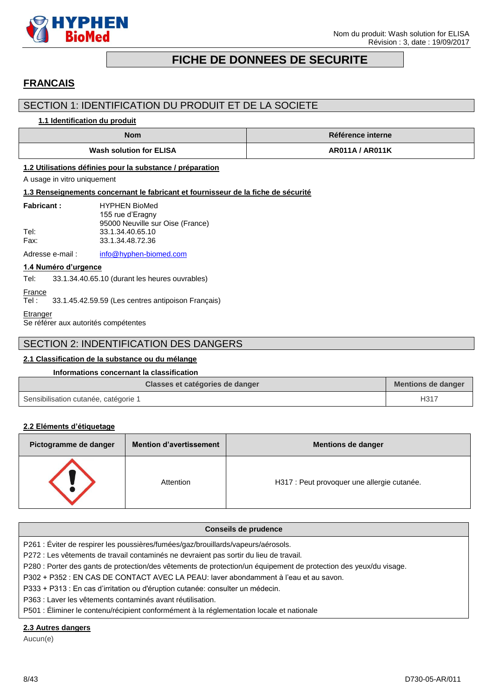

# **FICHE DE DONNEES DE SECURITE**

# <span id="page-7-0"></span>**FRANCAIS**

# SECTION 1: IDENTIFICATION DU PRODUIT ET DE LA SOCIETE

# **1.1 Identification du produit**

| <b>Nom</b>                     | Référence interne |
|--------------------------------|-------------------|
| <b>Wash solution for ELISA</b> | AR011A / AR011K   |

# **1.2 Utilisations définies pour la substance / préparation**

A usage in vitro uniquement

### **1.3 Renseignements concernant le fabricant et fournisseur de la fiche de sécurité**

| <b>Fabricant:</b> | <b>HYPHEN BioMed</b>             |
|-------------------|----------------------------------|
|                   | 155 rue d'Eragny                 |
|                   | 95000 Neuville sur Oise (France) |
| Tel:              | 33.1.34.40.65.10                 |
| Fax:              | 33.1.34.48.72.36                 |
|                   |                                  |

Adresse e-mail : [info@hyphen-biomed.com](mailto:info@hyphen-biomed.com)

# **1.4 Numéro d'urgence**

Tel: 33.1.34.40.65.10 (durant les heures ouvrables)

# France<br>Tel :

33.1.45.42.59.59 (Les centres antipoison Français)

# **Etranger**

Se référer aux autorités compétentes

# SECTION 2: INDENTIFICATION DES DANGERS

# **2.1 Classification de la substance ou du mélange**

### **Informations concernant la classification**

| Classes et catégories de danger      | <b>Mentions de danger</b> |
|--------------------------------------|---------------------------|
| Sensibilisation cutanée, catégorie 1 | H31 <sup>-</sup>          |

# **2.2 Eléments d'étiquetage**

| Pictogramme de danger | <b>Mention d'avertissement</b> | <b>Mentions de danger</b>                   |
|-----------------------|--------------------------------|---------------------------------------------|
|                       | Attention                      | H317 : Peut provoquer une allergie cutanée. |

### **Conseils de prudence**

P261 : Éviter de respirer les poussières/fumées/gaz/brouillards/vapeurs/aérosols.

P272 : Les vêtements de travail contaminés ne devraient pas sortir du lieu de travail.

P280 : Porter des gants de protection/des vêtements de protection/un équipement de protection des yeux/du visage.

P302 + P352 : EN CAS DE CONTACT AVEC LA PEAU: laver abondamment à l'eau et au savon.

P333 + P313 : En cas d'irritation ou d'éruption cutanée: consulter un médecin.

P363 : Laver les vêtements contaminés avant réutilisation.

P501 : Éliminer le contenu/récipient conformément à la réglementation locale et nationale

# **2.3 Autres dangers**

Aucun(e)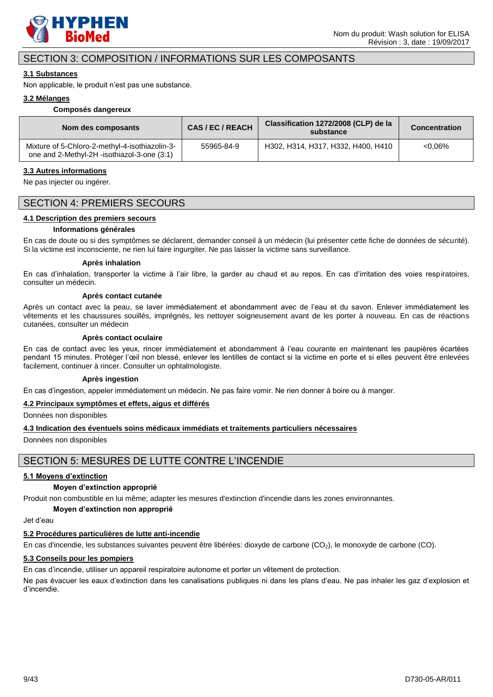

# SECTION 3: COMPOSITION / INFORMATIONS SUR LES COMPOSANTS

# **3.1 Substances**

Non applicable, le produit n'est pas une substance.

### **3.2 Mélanges**

# **Composés dangereux**

| Nom des composants                                                                            | <b>CAS/EC/REACH</b> | Classification 1272/2008 (CLP) de la<br>substance | <b>Concentration</b> |
|-----------------------------------------------------------------------------------------------|---------------------|---------------------------------------------------|----------------------|
| Mixture of 5-Chloro-2-methyl-4-isothiazolin-3-<br>one and 2-Methyl-2H -isothiazol-3-one (3:1) | 55965-84-9          | H302, H314, H317, H332, H400, H410                | $<0.06\%$            |

#### **3.3 Autres informations**

Ne pas injecter ou ingérer.

# SECTION 4: PREMIERS SECOURS

### **4.1 Description des premiers secours**

# **Informations générales**

En cas de doute ou si des symptômes se déclarent, demander conseil à un médecin (lui présenter cette fiche de données de sécurité). Si la victime est inconsciente, ne rien lui faire ingurgiter. Ne pas laisser la victime sans surveillance.

#### **Après inhalation**

En cas d'inhalation, transporter la victime à l'air libre, la garder au chaud et au repos. En cas d'irritation des voies respiratoires, consulter un médecin.

### **Après contact cutanée**

Après un contact avec la peau, se laver immédiatement et abondamment avec de l'eau et du savon. Enlever immédiatement les vêtements et les chaussures souillés, imprégnés, les nettoyer soigneusement avant de les porter à nouveau. En cas de réactions cutanées, consulter un médecin

#### **Après contact oculaire**

En cas de contact avec les yeux, rincer immédiatement et abondamment à l'eau courante en maintenant les paupières écartées pendant 15 minutes. Protéger l'œil non blessé, enlever les lentilles de contact si la victime en porte et si elles peuvent être enlevées facilement, continuer à rincer. Consulter un ophtalmologiste.

# **Après ingestion**

En cas d'ingestion, appeler immédiatement un médecin. Ne pas faire vomir. Ne rien donner à boire ou à manger.

# **4.2 Principaux symptômes et effets, aigus et différés**

Données non disponibles

### **4.3 Indication des éventuels soins médicaux immédiats et traitements particuliers nécessaires**

Données non disponibles

# SECTION 5: MESURES DE LUTTE CONTRE L'INCENDIE

# **5.1 Moyens d'extinction**

# **Moyen d'extinction approprié**

Produit non combustible en lui même; adapter les mesures d'extinction d'incendie dans les zones environnantes.

# **Moyen d'extinction non approprié**

Jet d'eau

### **5.2 Procédures particulières de lutte anti-incendie**

En cas d'incendie, les substances suivantes peuvent être libérées: dioxyde de carbone (CO2), le monoxyde de carbone (CO).

### **5.3 Conseils pour les pompiers**

En cas d'incendie, utiliser un appareil respiratoire autonome et porter un vêtement de protection.

Ne pas évacuer les eaux d'extinction dans les canalisations publiques ni dans les plans d'eau. Ne pas inhaler les gaz d'explosion et d'incendie.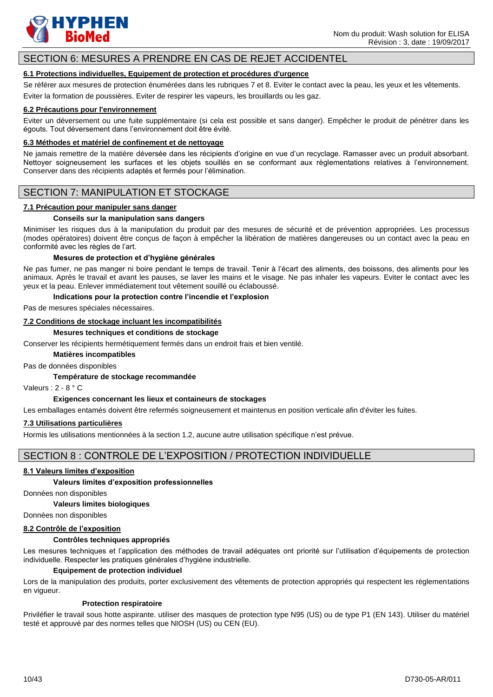

# SECTION 6: MESURES A PRENDRE EN CAS DE REJET ACCIDENTEL

# **6.1 Protections individuelles, Equipement de protection et procédures d'urgence**

Se référer aux mesures de protection énumérées dans les rubriques 7 et 8. Eviter le contact avec la peau, les yeux et les vêtements. Eviter la formation de poussières. Eviter de respirer les vapeurs, les brouillards ou les gaz.

# **6.2 Précautions pour l'environnement**

Eviter un déversement ou une fuite supplémentaire (si cela est possible et sans danger). Empêcher le produit de pénétrer dans les égouts. Tout déversement dans l'environnement doit être évité.

# **6.3 Méthodes et matériel de confinement et de nettoyage**

Ne jamais remettre de la matière déversée dans les récipients d'origine en vue d'un recyclage. Ramasser avec un produit absorbant. Nettoyer soigneusement les surfaces et les objets souillés en se conformant aux règlementations relatives à l'environnement. Conserver dans des récipients adaptés et fermés pour l'élimination.

# SECTION 7: MANIPULATION ET STOCKAGE

# **7.1 Précaution pour manipuler sans danger**

# **Conseils sur la manipulation sans dangers**

Minimiser les risques dus à la manipulation du produit par des mesures de sécurité et de prévention appropriées. Les processus (modes opératoires) doivent être conçus de façon à empêcher la libération de matières dangereuses ou un contact avec la peau en conformité avec les règles de l'art.

# **Mesures de protection et d'hygiène générales**

Ne pas fumer, ne pas manger ni boire pendant le temps de travail. Tenir à l'écart des aliments, des boissons, des aliments pour les animaux. Après le travail et avant les pauses, se laver les mains et le visage. Ne pas inhaler les vapeurs. Eviter le contact avec les yeux et la peau. Enlever immédiatement tout vêtement souillé ou éclaboussé.

# **Indications pour la protection contre l'incendie et l'explosion**

Pas de mesures spéciales nécessaires.

# **7.2 Conditions de stockage incluant les incompatibilités**

# **Mesures techniques et conditions de stockage**

Conserver les récipients hermétiquement fermés dans un endroit frais et bien ventilé.

# **Matières incompatibles**

Pas de données disponibles

# **Température de stockage recommandée**

Valeurs : 2 - 8 ° C

# **Exigences concernant les lieux et containeurs de stockages**

Les emballages entamés doivent être refermés soigneusement et maintenus en position verticale afin d'éviter les fuites.

# **7.3 Utilisations particulières**

Hormis les utilisations mentionnées à la section 1.2, aucune autre utilisation spécifique n'est prévue.

# SECTION 8 : CONTROLE DE L'EXPOSITION / PROTECTION INDIVIDUELLE

# **8.1 Valeurs limites d'exposition**

### **Valeurs limites d'exposition professionnelles**

Données non disponibles

# **Valeurs limites biologiques**

Données non disponibles

### **8.2 Contrôle de l'exposition**

### **Contrôles techniques appropriés**

Les mesures techniques et l'application des méthodes de travail adéquates ont priorité sur l'utilisation d'équipements de protection individuelle. Respecter les pratiques générales d'hygiène industrielle.

### **Equipement de protection individuel**

Lors de la manipulation des produits, porter exclusivement des vêtements de protection appropriés qui respectent les règlementations en vigueur.

# **Protection respiratoire**

Priviléfier le travail sous hotte aspirante. utiliser des masques de protection type N95 (US) ou de type P1 (EN 143). Utiliser du matériel testé et approuvé par des normes telles que NIOSH (US) ou CEN (EU).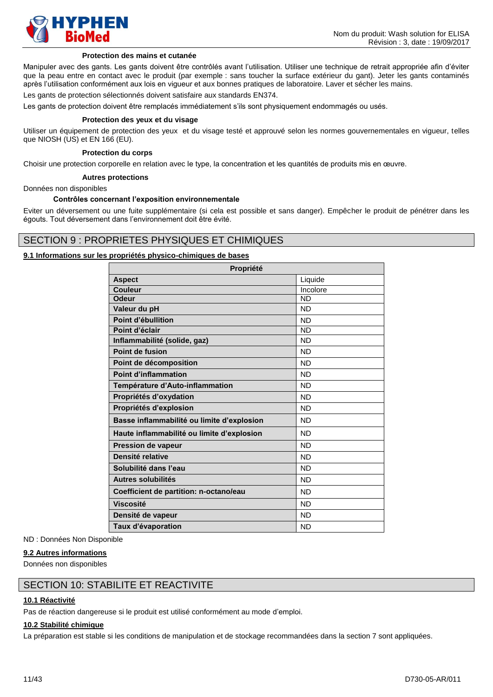

### **Protection des mains et cutanée**

Manipuler avec des gants. Les gants doivent être contrôlés avant l'utilisation. Utiliser une technique de retrait appropriée afin d'éviter que la peau entre en contact avec le produit (par exemple : sans toucher la surface extérieur du gant). Jeter les gants contaminés après l'utilisation conformément aux lois en vigueur et aux bonnes pratiques de laboratoire. Laver et sécher les mains.

Les gants de protection sélectionnés doivent satisfaire aux standards EN374.

Les gants de protection doivent être remplacés immédiatement s'ils sont physiquement endommagés ou usés.

#### **Protection des yeux et du visage**

Utiliser un équipement de protection des yeux et du visage testé et approuvé selon les normes gouvernementales en vigueur, telles que NIOSH (US) et EN 166 (EU).

#### **Protection du corps**

Choisir une protection corporelle en relation avec le type, la concentration et les quantités de produits mis en œuvre.

#### **Autres protections**

Données non disponibles

#### **Contrôles concernant l'exposition environnementale**

Eviter un déversement ou une fuite supplémentaire (si cela est possible et sans danger). Empêcher le produit de pénétrer dans les égouts. Tout déversement dans l'environnement doit être évité.

# SECTION 9 : PROPRIETES PHYSIQUES ET CHIMIQUES

# **9.1 Informations sur les propriétés physico-chimiques de bases**

| Propriété                                  |           |
|--------------------------------------------|-----------|
| <b>Aspect</b>                              | Liquide   |
| Couleur                                    | Incolore  |
| <b>Odeur</b>                               | <b>ND</b> |
| Valeur du pH                               | <b>ND</b> |
| Point d'ébullition                         | <b>ND</b> |
| Point d'éclair                             | <b>ND</b> |
| Inflammabilité (solide, gaz)               | <b>ND</b> |
| Point de fusion                            | <b>ND</b> |
| Point de décomposition                     | <b>ND</b> |
| <b>Point d'inflammation</b>                | <b>ND</b> |
| Température d'Auto-inflammation            | <b>ND</b> |
| Propriétés d'oxydation                     | <b>ND</b> |
| Propriétés d'explosion                     | <b>ND</b> |
| Basse inflammabilité ou limite d'explosion | <b>ND</b> |
| Haute inflammabilité ou limite d'explosion | <b>ND</b> |
| <b>Pression de vapeur</b>                  | <b>ND</b> |
| Densité relative                           | <b>ND</b> |
| Solubilité dans l'eau                      | <b>ND</b> |
| Autres solubilités                         | <b>ND</b> |
| Coefficient de partition: n-octano/eau     | <b>ND</b> |
| <b>Viscosité</b>                           | <b>ND</b> |
| Densité de vapeur                          | <b>ND</b> |
| Taux d'évaporation                         | <b>ND</b> |

ND : Données Non Disponible

### **9.2 Autres informations**

Données non disponibles

# SECTION 10: STABILITE ET REACTIVITE

# **10.1 Réactivité**

Pas de réaction dangereuse si le produit est utilisé conformément au mode d'emploi.

## **10.2 Stabilité chimique**

La préparation est stable si les conditions de manipulation et de stockage recommandées dans la section 7 sont appliquées.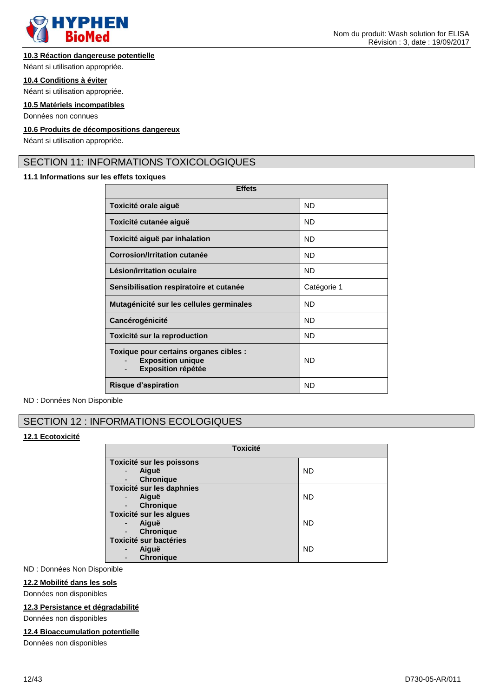

# **10.3 Réaction dangereuse potentielle**

Néant si utilisation appropriée.

### **10.4 Conditions à éviter**

Néant si utilisation appropriée.

**10.5 Matériels incompatibles**

Données non connues

### **10.6 Produits de décompositions dangereux**

Néant si utilisation appropriée.

# SECTION 11: INFORMATIONS TOXICOLOGIQUES

# **11.1 Informations sur les effets toxiques**

| <b>Effets</b>                                                                                        |             |
|------------------------------------------------------------------------------------------------------|-------------|
| Toxicité orale aiguë                                                                                 | <b>ND</b>   |
| Toxicité cutanée aiguë                                                                               | <b>ND</b>   |
| Toxicité aiguë par inhalation                                                                        | ND.         |
| Corrosion/Irritation cutanée                                                                         | <b>ND</b>   |
| Lésion/irritation oculaire                                                                           | <b>ND</b>   |
| Sensibilisation respiratoire et cutanée                                                              | Catégorie 1 |
| Mutagénicité sur les cellules germinales                                                             | <b>ND</b>   |
| Cancérogénicité                                                                                      | <b>ND</b>   |
| Toxicité sur la reproduction                                                                         | <b>ND</b>   |
| Toxique pour certains organes cibles :<br><b>Exposition unique</b><br><b>Exposition répétée</b><br>- | <b>ND</b>   |
| Risque d'aspiration                                                                                  | <b>ND</b>   |

ND : Données Non Disponible

# SECTION 12 : INFORMATIONS ECOLOGIQUES

# **12.1 Ecotoxicité**

| <b>Toxicité</b>           |           |
|---------------------------|-----------|
| Toxicité sur les poissons |           |
| Aiguë                     | <b>ND</b> |
| <b>Chronique</b>          |           |
| Toxicité sur les daphnies |           |
| Aiguë                     | <b>ND</b> |
| <b>Chronique</b>          |           |
| Toxicité sur les algues   |           |
| Aiguë                     | <b>ND</b> |
| <b>Chronique</b>          |           |
| Toxicité sur bactéries    |           |
| Aiguë                     | <b>ND</b> |
| <b>Chronique</b>          |           |

ND : Données Non Disponible

### **12.2 Mobilité dans les sols**

Données non disponibles

# **12.3 Persistance et dégradabilité**

Données non disponibles

# **12.4 Bioaccumulation potentielle**

Données non disponibles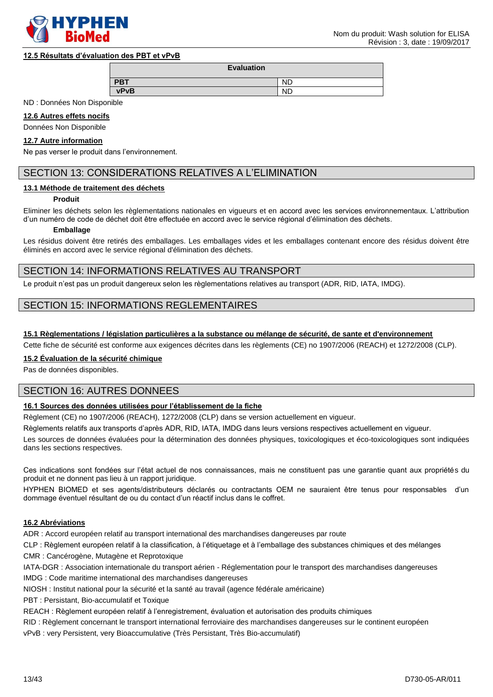

# **12.5 Résultats d'évaluation des PBT et vPvB**

| <b>Evaluation</b> |           |
|-------------------|-----------|
| <b>PBT</b>        | <b>ND</b> |
| <b>vPvB</b>       | <b>ND</b> |

ND : Données Non Disponible

# **12.6 Autres effets nocifs**

Données Non Disponible

# **12.7 Autre information**

Ne pas verser le produit dans l'environnement.

# SECTION 13: CONSIDERATIONS RELATIVES A L'ELIMINATION

# **13.1 Méthode de traitement des déchets**

### **Produit**

Eliminer les déchets selon les règlementations nationales en vigueurs et en accord avec les services environnementaux. L'attribution d'un numéro de code de déchet doit être effectuée en accord avec le service régional d'élimination des déchets.

### **Emballage**

Les résidus doivent être retirés des emballages. Les emballages vides et les emballages contenant encore des résidus doivent être éliminés en accord avec le service régional d'élimination des déchets.

# SECTION 14: INFORMATIONS RELATIVES AU TRANSPORT

Le produit n'est pas un produit dangereux selon les règlementations relatives au transport (ADR, RID, IATA, IMDG).

# SECTION 15: INFORMATIONS REGLEMENTAIRES

# **15.1 Règlementations / législation particulières a la substance ou mélange de sécurité, de sante et d'environnement**

Cette fiche de sécurité est conforme aux exigences décrites dans les règlements (CE) no 1907/2006 (REACH) et 1272/2008 (CLP).

# **15.2 Évaluation de la sécurité chimique**

Pas de données disponibles.

# SECTION 16: AUTRES DONNEES

# **16.1 Sources des données utilisées pour l'établissement de la fiche**

Règlement (CE) no 1907/2006 (REACH), 1272/2008 (CLP) dans se version actuellement en vigueur.

Règlements relatifs aux transports d'après ADR, RID, IATA, IMDG dans leurs versions respectives actuellement en vigueur.

Les sources de données évaluées pour la détermination des données physiques, toxicologiques et éco-toxicologiques sont indiquées dans les sections respectives.

Ces indications sont fondées sur l'état actuel de nos connaissances, mais ne constituent pas une garantie quant aux propriétés du produit et ne donnent pas lieu à un rapport juridique.

HYPHEN BIOMED et ses agents/distributeurs déclarés ou contractants OEM ne sauraient être tenus pour responsables d'un dommage éventuel résultant de ou du contact d'un réactif inclus dans le coffret.

### **16.2 Abréviations**

ADR : Accord européen relatif au transport international des marchandises dangereuses par route

CLP : Règlement européen relatif à la classification, à l'étiquetage et à l'emballage des substances chimiques et des mélanges CMR : Cancérogène, Mutagène et Reprotoxique

IATA-DGR : Association internationale du transport aérien - Réglementation pour le transport des marchandises dangereuses IMDG : Code maritime international des marchandises dangereuses

NIOSH : Institut national pour la sécurité et la santé au travail (agence fédérale américaine)

PBT : Persistant, Bio-accumulatif et Toxique

REACH : Règlement européen relatif à l'enregistrement, évaluation et autorisation des produits chimiques

RID : Règlement concernant le transport international ferroviaire des marchandises dangereuses sur le continent européen

vPvB : very Persistent, very Bioaccumulative (Très Persistant, Très Bio-accumulatif)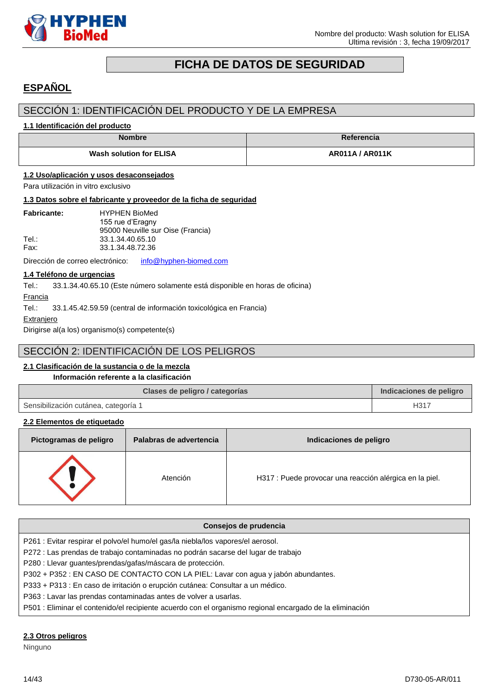

# **FICHA DE DATOS DE SEGURIDAD**

# <span id="page-13-0"></span>**ESPAÑOL**

# SECCIÓN 1: IDENTIFICACIÓN DEL PRODUCTO Y DE LA EMPRESA

# **1.1 Identificación del producto**

| <b>Nombre</b>           | Referencia      |
|-------------------------|-----------------|
| Wash solution for ELISA | AR011A / AR011K |

# **1.2 Uso/aplicación y usos desaconsejados**

Para utilización in vitro exclusivo

# **1.3 Datos sobre el fabricante y proveedor de la ficha de seguridad**

| <b>Fabricante:</b> | <b>HYPHEN BioMed</b>              |
|--------------------|-----------------------------------|
|                    | 155 rue d'Eragny                  |
|                    | 95000 Neuville sur Oise (Francia) |
| Tel.:              | 33.1.34.40.65.10                  |
| Fax:               | 33.1.34.48.72.36                  |

Dirección de correo electrónico: [info@hyphen-biomed.com](mailto:info@hyphen-biomed.com)

# **1.4 Teléfono de urgencias**

Tel.: 33.1.34.40.65.10 (Este número solamente está disponible en horas de oficina)

Francia

Tel.: 33.1.45.42.59.59 (central de información toxicológica en Francia)

**Extranjero** 

Dirigirse al(a los) organismo(s) competente(s)

# SECCIÓN 2: IDENTIFICACIÓN DE LOS PELIGROS

# **2.1 Clasificación de la sustancia o de la mezcla**

# **Información referente a la clasificación**

| Clases de peligro / categorías       | Indicaciones de peligro |
|--------------------------------------|-------------------------|
| Sensibilización cutánea, categoría 1 | H <sub>317</sub>        |

| 2.2 Elementos de etiquetado |
|-----------------------------|
|-----------------------------|

| Pictogramas de peligro | Palabras de advertencia | Indicaciones de peligro                                 |
|------------------------|-------------------------|---------------------------------------------------------|
|                        | Atención                | H317 : Puede provocar una reacción alérgica en la piel. |

| Consejos de prudencia                                                                                    |
|----------------------------------------------------------------------------------------------------------|
| P261 : Evitar respirar el polvo/el humo/el gas/la niebla/los vapores/el aerosol.                         |
| P272 : Las prendas de trabajo contaminadas no podrán sacarse del lugar de trabajo                        |
| P280 : Llevar guantes/prendas/gafas/máscara de protección.                                               |
| P302 + P352 : EN CASO DE CONTACTO CON LA PIEL: Lavar con agua y jabón abundantes.                        |
| P333 + P313 : En caso de irritación o erupción cutánea: Consultar a un médico.                           |
| P363 : Lavar las prendas contaminadas antes de volver a usarlas.                                         |
| P501 : Eliminar el contenido/el recipiente acuerdo con el organismo regional encargado de la eliminación |

# **2.3 Otros peligros**

Ninguno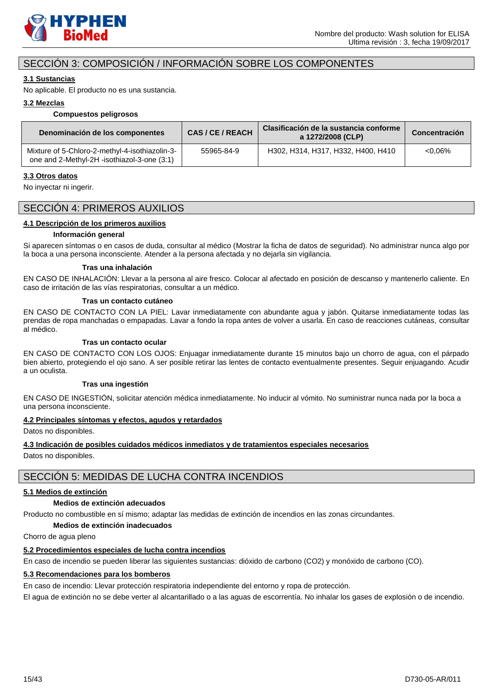

# SECCIÓN 3: COMPOSICIÓN / INFORMACIÓN SOBRE LOS COMPONENTES

# **3.1 Sustancias**

No aplicable. El producto no es una sustancia.

# **3.2 Mezclas**

### **Compuestos peligrosos**

| Denominación de los componentes                                                               | CAS/CE/REACH | Clasificación de la sustancia conforme<br>a 1272/2008 (CLP) | Concentración |
|-----------------------------------------------------------------------------------------------|--------------|-------------------------------------------------------------|---------------|
| Mixture of 5-Chloro-2-methyl-4-isothiazolin-3-<br>one and 2-Methyl-2H -isothiazol-3-one (3:1) | 55965-84-9   | H302, H314, H317, H332, H400, H410                          | $0.06\%$      |

# **3.3 Otros datos**

No inyectar ni ingerir.

# SECCIÓN 4: PRIMEROS AUXILIOS

# **4.1 Descripción de los primeros auxilios**

# **Información general**

Si aparecen síntomas o en casos de duda, consultar al médico (Mostrar la ficha de datos de seguridad). No administrar nunca algo por la boca a una persona inconsciente. Atender a la persona afectada y no dejarla sin vigilancia.

# **Tras una inhalación**

EN CASO DE INHALACIÓN: Llevar a la persona al aire fresco. Colocar al afectado en posición de descanso y mantenerlo caliente. En caso de irritación de las vías respiratorias, consultar a un médico.

# **Tras un contacto cutáneo**

EN CASO DE CONTACTO CON LA PIEL: Lavar inmediatamente con abundante agua y jabón. Quitarse inmediatamente todas las prendas de ropa manchadas o empapadas. Lavar a fondo la ropa antes de volver a usarla. En caso de reacciones cutáneas, consultar al médico.

# **Tras un contacto ocular**

EN CASO DE CONTACTO CON LOS OJOS: Enjuagar inmediatamente durante 15 minutos bajo un chorro de agua, con el párpado bien abierto, protegiendo el ojo sano. A ser posible retirar las lentes de contacto eventualmente presentes. Seguir enjuagando. Acudir a un oculista.

### **Tras una ingestión**

EN CASO DE INGESTIÓN, solicitar atención médica inmediatamente. No inducir al vómito. No suministrar nunca nada por la boca a una persona inconsciente.

# **4.2 Principales síntomas y efectos, agudos y retardados**

Datos no disponibles.

# **4.3 Indicación de posibles cuidados médicos inmediatos y de tratamientos especiales necesarios**

Datos no disponibles.

# SECCIÓN 5: MEDIDAS DE LUCHA CONTRA INCENDIOS

# **5.1 Medios de extinción**

# **Medios de extinción adecuados**

Producto no combustible en sí mismo; adaptar las medidas de extinción de incendios en las zonas circundantes.

# **Medios de extinción inadecuados**

Chorro de agua pleno

# **5.2 Procedimientos especiales de lucha contra incendios**

En caso de incendio se pueden liberar las siguientes sustancias: dióxido de carbono (CO2) y monóxido de carbono (CO).

# **5.3 Recomendaciones para los bomberos**

En caso de incendio: Llevar protección respiratoria independiente del entorno y ropa de protección.

El agua de extinción no se debe verter al alcantarillado o a las aguas de escorrentía. No inhalar los gases de explosión o de incendio.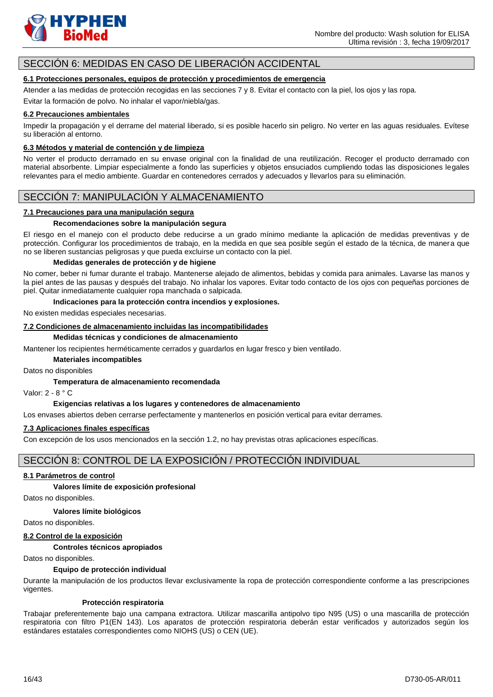

# SECCIÓN 6: MEDIDAS EN CASO DE LIBERACIÓN ACCIDENTAL

# **6.1 Protecciones personales, equipos de protección y procedimientos de emergencia**

Atender a las medidas de protección recogidas en las secciones 7 y 8. Evitar el contacto con la piel, los ojos y las ropa. Evitar la formación de polvo. No inhalar el vapor/niebla/gas.

#### **6.2 Precauciones ambientales**

Impedir la propagación y el derrame del material liberado, si es posible hacerlo sin peligro. No verter en las aguas residuales. Evítese su liberación al entorno.

#### **6.3 Métodos y material de contención y de limpieza**

No verter el producto derramado en su envase original con la finalidad de una reutilización. Recoger el producto derramado con material absorbente. Limpiar especialmente a fondo las superficies y objetos ensuciados cumpliendo todas las disposiciones legales relevantes para el medio ambiente. Guardar en contenedores cerrados y adecuados y llevarlos para su eliminación.

# SECCIÓN 7: MANIPULACIÓN Y ALMACENAMIENTO

#### **7.1 Precauciones para una manipulación segura**

### **Recomendaciones sobre la manipulación segura**

El riesgo en el manejo con el producto debe reducirse a un grado mínimo mediante la aplicación de medidas preventivas y de protección. Configurar los procedimientos de trabajo, en la medida en que sea posible según el estado de la técnica, de manera que no se liberen sustancias peligrosas y que pueda excluirse un contacto con la piel.

#### **Medidas generales de protección y de higiene**

No comer, beber ni fumar durante el trabajo. Mantenerse alejado de alimentos, bebidas y comida para animales. Lavarse las manos y la piel antes de las pausas y después del trabajo. No inhalar los vapores. Evitar todo contacto de los ojos con pequeñas porciones de piel. Quitar inmediatamente cualquier ropa manchada o salpicada.

#### **Indicaciones para la protección contra incendios y explosiones.**

No existen medidas especiales necesarias.

#### **7.2 Condiciones de almacenamiento incluidas las incompatibilidades**

#### **Medidas técnicas y condiciones de almacenamiento**

Mantener los recipientes herméticamente cerrados y guardarlos en lugar fresco y bien ventilado.

**Materiales incompatibles**

#### Datos no disponibles

### **Temperatura de almacenamiento recomendada**

Valor: 2 - 8 ° C

### **Exigencias relativas a los lugares y contenedores de almacenamiento**

Los envases abiertos deben cerrarse perfectamente y mantenerlos en posición vertical para evitar derrames.

### **7.3 Aplicaciones finales específicas**

Con excepción de los usos mencionados en la sección 1.2, no hay previstas otras aplicaciones específicas.

# SECCIÓN 8: CONTROL DE LA EXPOSICIÓN / PROTECCIÓN INDIVIDUAL

# **8.1 Parámetros de control**

# **Valores límite de exposición profesional**

Datos no disponibles.

### **Valores límite biológicos**

Datos no disponibles.

### **8.2 Control de la exposición**

### **Controles técnicos apropiados**

Datos no disponibles.

### **Equipo de protección individual**

Durante la manipulación de los productos llevar exclusivamente la ropa de protección correspondiente conforme a las prescripciones vigentes.

#### **Protección respiratoria**

Trabajar preferentemente bajo una campana extractora. Utilizar mascarilla antipolvo tipo N95 (US) o una mascarilla de protección respiratoria con filtro P1(EN 143). Los aparatos de protección respiratoria deberán estar verificados y autorizados según los estándares estatales correspondientes como NIOHS (US) o CEN (UE).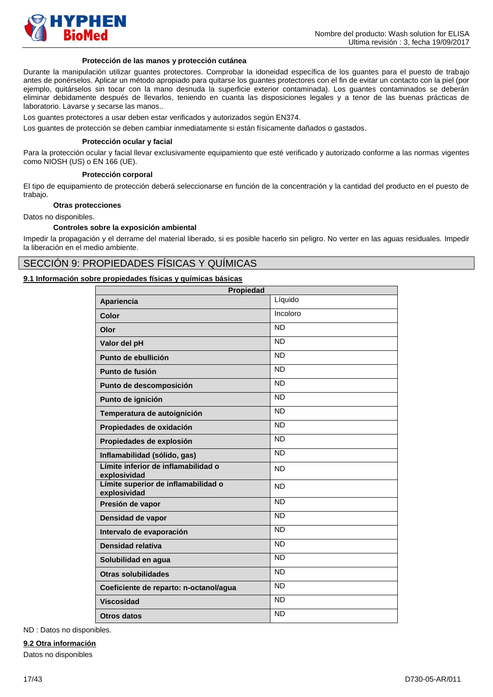

#### **Protección de las manos y protección cutánea**

Durante la manipulación utilizar guantes protectores. Comprobar la idoneidad específica de los guantes para el puesto de trabajo antes de ponérselos. Aplicar un método apropiado para quitarse los guantes protectores con el fin de evitar un contacto con la piel (por ejemplo, quitárselos sin tocar con la mano desnuda la superficie exterior contaminada). Los guantes contaminados se deberán eliminar debidamente después de llevarlos, teniendo en cuanta las disposiciones legales y a tenor de las buenas prácticas de laboratorio. Lavarse y secarse las manos..

Los guantes protectores a usar deben estar verificados y autorizados según EN374.

Los guantes de protección se deben cambiar inmediatamente si están físicamente dañados o gastados.

#### **Protección ocular y facial**

Para la protección ocular y facial llevar exclusivamente equipamiento que esté verificado y autorizado conforme a las normas vigentes como NIOSH (US) o EN 166 (UE).

#### **Protección corporal**

El tipo de equipamiento de protección deberá seleccionarse en función de la concentración y la cantidad del producto en el puesto de trabajo.

#### **Otras protecciones**

Datos no disponibles.

# **Controles sobre la exposición ambiental**

Impedir la propagación y el derrame del material liberado, si es posible hacerlo sin peligro. No verter en las aguas residuales. Impedir la liberación en el medio ambiente.

# SECCIÓN 9: PROPIEDADES FÍSICAS Y QUÍMICAS

# **9.1 Información sobre propiedades físicas y químicas básicas**

| Propiedad                                           |                     |  |
|-----------------------------------------------------|---------------------|--|
| Apariencia                                          | Líquido             |  |
| Color                                               | Incoloro            |  |
| Olor                                                | <b>ND</b>           |  |
| Valor del pH                                        | <b>ND</b>           |  |
| Punto de ebullición                                 | <b>ND</b>           |  |
| Punto de fusión                                     | <b>ND</b>           |  |
| Punto de descomposición                             | <b>ND</b>           |  |
| Punto de ignición                                   | <b>ND</b>           |  |
| Temperatura de autoignición                         | $\overline{\sf ND}$ |  |
| Propiedades de oxidación                            | <b>ND</b>           |  |
| Propiedades de explosión                            | <b>ND</b>           |  |
| Inflamabilidad (sólido, gas)                        | <b>ND</b>           |  |
| Límite inferior de inflamabilidad o<br>explosividad | <b>ND</b>           |  |
| Límite superior de inflamabilidad o<br>explosividad | <b>ND</b>           |  |
| Presión de vapor                                    | N <sub>D</sub>      |  |
| Densidad de vapor                                   | <b>ND</b>           |  |
| Intervalo de evaporación                            | <b>ND</b>           |  |
| Densidad relativa                                   | <b>ND</b>           |  |
| Solubilidad en agua                                 | <b>ND</b>           |  |
| <b>Otras solubilidades</b>                          | <b>ND</b>           |  |
| Coeficiente de reparto: n-octanol/agua              | <b>ND</b>           |  |
| <b>Viscosidad</b>                                   | <b>ND</b>           |  |
| Otros datos                                         | <b>ND</b>           |  |

ND : Datos no disponibles.

#### **9.2 Otra información**

Datos no disponibles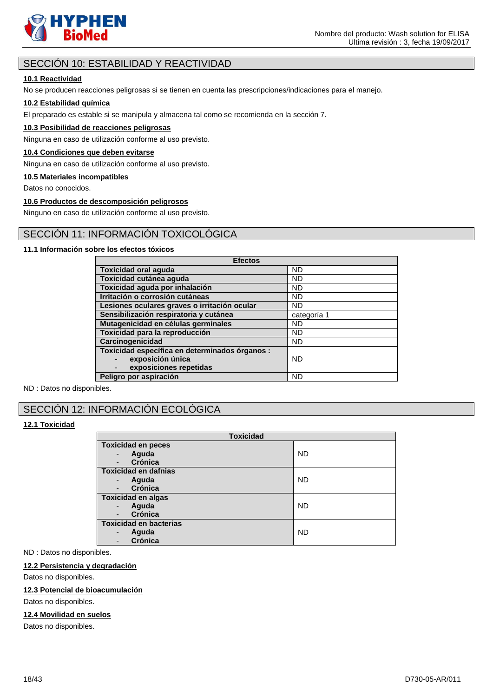

# SECCIÓN 10: ESTABILIDAD Y REACTIVIDAD

# **10.1 Reactividad**

No se producen reacciones peligrosas si se tienen en cuenta las prescripciones/indicaciones para el manejo.

# **10.2 Estabilidad química**

El preparado es estable si se manipula y almacena tal como se recomienda en la sección 7.

# **10.3 Posibilidad de reacciones peligrosas**

Ninguna en caso de utilización conforme al uso previsto.

# **10.4 Condiciones que deben evitarse**

Ninguna en caso de utilización conforme al uso previsto.

# **10.5 Materiales incompatibles**

Datos no conocidos.

### **10.6 Productos de descomposición peligrosos**

Ninguno en caso de utilización conforme al uso previsto.

# SECCIÓN 11: INFORMACIÓN TOXICOLÓGICA

# **11.1 Información sobre los efectos tóxicos**

| <b>Efectos</b>                                 |             |
|------------------------------------------------|-------------|
| <b>Toxicidad oral aguda</b>                    | <b>ND</b>   |
| Toxicidad cutánea aguda                        | <b>ND</b>   |
| Toxicidad aguda por inhalación                 | <b>ND</b>   |
| Irritación o corrosión cutáneas                | <b>ND</b>   |
| Lesiones oculares graves o irritación ocular   | <b>ND</b>   |
| Sensibilización respiratoria y cutánea         | categoría 1 |
| Mutagenicidad en células germinales            | <b>ND</b>   |
| Toxicidad para la reproducción                 | <b>ND</b>   |
| Carcinogenicidad                               | <b>ND</b>   |
| Toxicidad específica en determinados órganos : |             |
| exposición única                               | <b>ND</b>   |
| exposiciones repetidas                         |             |
| Peligro por aspiración                         | <b>ND</b>   |

ND : Datos no disponibles.

# SECCIÓN 12: INFORMACIÓN ECOLÓGICA

### **12.1 Toxicidad**

| <b>Toxicidad</b>                           |           |  |
|--------------------------------------------|-----------|--|
| <b>Toxicidad en peces</b>                  |           |  |
| Aguda                                      | <b>ND</b> |  |
| Crónica<br>$\blacksquare$                  |           |  |
| <b>Toxicidad en dafnias</b>                |           |  |
| Aguda                                      | <b>ND</b> |  |
| <b>Crónica</b><br>$\overline{\phantom{a}}$ |           |  |
| <b>Toxicidad en algas</b>                  |           |  |
| Aguda                                      | <b>ND</b> |  |
| Crónica                                    |           |  |
| <b>Toxicidad en bacterias</b>              |           |  |
| Aguda                                      | <b>ND</b> |  |
| Crónica                                    |           |  |

ND : Datos no disponibles.

# **12.2 Persistencia y degradación**

Datos no disponibles.

### **12.3 Potencial de bioacumulación**

Datos no disponibles.

# **12.4 Movilidad en suelos**

Datos no disponibles.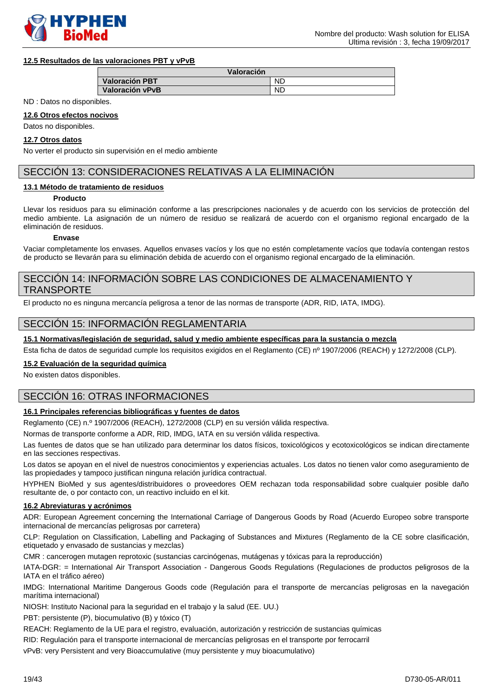

# **12.5 Resultados de las valoraciones PBT y vPvB**

| Valoración            |           |
|-----------------------|-----------|
| <b>Valoración PBT</b> | <b>ND</b> |
| Valoración vPvB       | <b>ND</b> |

ND : Datos no disponibles.

# **12.6 Otros efectos nocivos**

Datos no disponibles.

# **12.7 Otros datos**

No verter el producto sin supervisión en el medio ambiente

# SECCIÓN 13: CONSIDERACIONES RELATIVAS A LA ELIMINACIÓN

# **13.1 Método de tratamiento de residuos**

### **Producto**

Llevar los residuos para su eliminación conforme a las prescripciones nacionales y de acuerdo con los servicios de protección del medio ambiente. La asignación de un número de residuo se realizará de acuerdo con el organismo regional encargado de la eliminación de residuos.

### **Envase**

Vaciar completamente los envases. Aquellos envases vacíos y los que no estén completamente vacíos que todavía contengan restos de producto se llevarán para su eliminación debida de acuerdo con el organismo regional encargado de la eliminación.

# SECCIÓN 14: INFORMACIÓN SOBRE LAS CONDICIONES DE ALMACENAMIENTO Y **TRANSPORTE**

El producto no es ninguna mercancía peligrosa a tenor de las normas de transporte (ADR, RID, IATA, IMDG).

# SECCIÓN 15: INFORMACIÓN REGLAMENTARIA

# **15.1 Normativas/legislación de seguridad, salud y medio ambiente específicas para la sustancia o mezcla**

Esta ficha de datos de seguridad cumple los requisitos exigidos en el Reglamento (CE) nº 1907/2006 (REACH) y 1272/2008 (CLP).

### **15.2 Evaluación de la seguridad química**

No existen datos disponibles.

# SECCIÓN 16: OTRAS INFORMACIONES

# **16.1 Principales referencias bibliográficas y fuentes de datos**

Reglamento (CE) n.º 1907/2006 (REACH), 1272/2008 (CLP) en su versión válida respectiva.

Normas de transporte conforme a ADR, RID, IMDG, IATA en su versión válida respectiva.

Las fuentes de datos que se han utilizado para determinar los datos físicos, toxicológicos y ecotoxicológicos se indican directamente en las secciones respectivas.

Los datos se apoyan en el nivel de nuestros conocimientos y experiencias actuales. Los datos no tienen valor como aseguramiento de las propiedades y tampoco justifican ninguna relación jurídica contractual.

HYPHEN BioMed y sus agentes/distribuidores o proveedores OEM rechazan toda responsabilidad sobre cualquier posible daño resultante de, o por contacto con, un reactivo incluido en el kit.

### **16.2 Abreviaturas y acrónimos**

ADR: European Agreement concerning the International Carriage of Dangerous Goods by Road (Acuerdo Europeo sobre transporte internacional de mercancías peligrosas por carretera)

CLP: Regulation on Classification, Labelling and Packaging of Substances and Mixtures (Reglamento de la CE sobre clasificación, etiquetado y envasado de sustancias y mezclas)

CMR : cancerogen mutagen reprotoxic (sustancias carcinógenas, mutágenas y tóxicas para la reproducción)

IATA-DGR: = International Air Transport Association - Dangerous Goods Regulations (Regulaciones de productos peligrosos de la IATA en el tráfico aéreo)

IMDG: International Maritime Dangerous Goods code (Regulación para el transporte de mercancías peligrosas en la navegación marítima internacional)

NIOSH: Instituto Nacional para la seguridad en el trabajo y la salud (EE. UU.)

PBT: persistente (P), biocumulativo (B) y tóxico (T)

REACH: Reglamento de la UE para el registro, evaluación, autorización y restricción de sustancias químicas

RID: Regulación para el transporte internacional de mercancías peligrosas en el transporte por ferrocarril

vPvB: very Persistent and very Bioaccumulative (muy persistente y muy bioacumulativo)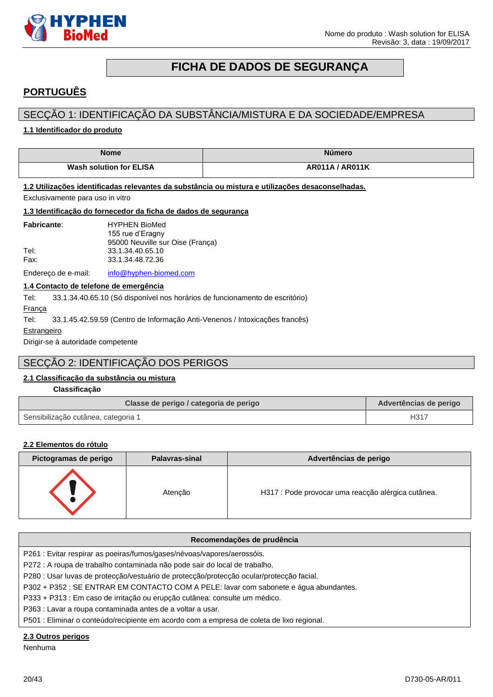

# **FICHA DE DADOS DE SEGURANÇA**

# <span id="page-19-0"></span>**PORTUGUÊS**

# SECÇÃO 1: IDENTIFICAÇÃO DA SUBSTÂNCIA/MISTURA E DA SOCIEDADE/EMPRESA

# **1.1 Identificador do produto**

| Nome                           | Número          |
|--------------------------------|-----------------|
| <b>Wash solution for ELISA</b> | AR011A / AR011K |

# **1.2 Utilizações identificadas relevantes da substância ou mistura e utilizações desaconselhadas.**

Exclusivamente para uso in vitro

### **1.3 Identificação do fornecedor da ficha de dados de segurança**

| <b>Fabricante:</b>                 | <b>HYPHEN BioMed</b>                            |
|------------------------------------|-------------------------------------------------|
|                                    | 155 rue d'Eragny                                |
|                                    | 95000 Neuville sur Oise (Franca)                |
| Tel:                               | 33.1.34.40.65.10                                |
| Fax:                               | 33.1.34.48.72.36                                |
| The state and state and search the | that a Collaborate and the transport of a state |

Endereço de e-mail: [info@hyphen-biomed.com](mailto:info@hyphen-biomed.com)

# **1.4 Contacto de telefone de emergência**

Tel: 33.1.34.40.65.10 (Só disponível nos horários de funcionamento de escritório)

França

Tel: 33.1.45.42.59.59 (Centro de Informação Anti-Venenos / Intoxicações francês)

#### Estrangeiro

Dirigir-se à autoridade competente

# SECÇÃO 2: IDENTIFICAÇÃO DOS PERIGOS

# **2.1 Classificação da substância ou mistura**

**Classificação**

| Classe de perigo / categoria de perigo | Advertências de perigo |
|----------------------------------------|------------------------|
| Sensibilização cutânea, categoria 1    | H317                   |

# **2.2 Elementos do rótulo**

| Pictogramas de perigo | <b>Palavras-sinal</b> | Advertências de perigo                             |
|-----------------------|-----------------------|----------------------------------------------------|
|                       | Atencão               | H317 : Pode provocar uma reacção alérgica cutânea. |

| Recomendações de prudência                                                                |
|-------------------------------------------------------------------------------------------|
| P261 : Evitar respirar as poeiras/fumos/gases/névoas/vapores/aerossóis.                   |
| P272 : A roupa de trabalho contaminada não pode sair do local de trabalho.                |
| P280 : Usar luvas de protecção/vestuário de protecção/protecção ocular/protecção facial.  |
| P302 + P352 : SE ENTRAR EM CONTACTO COM A PELE: lavar com sabonete e água abundantes.     |
| P333 + P313 : Em caso de irritação ou erupção cutânea: consulte um médico.                |
| P363 : Lavar a roupa contaminada antes de a voltar a usar.                                |
| P501 : Eliminar o conteúdo/recipiente em acordo com a empresa de coleta de lixo regional. |
| 2.3 Outros perigos                                                                        |

Nenhuma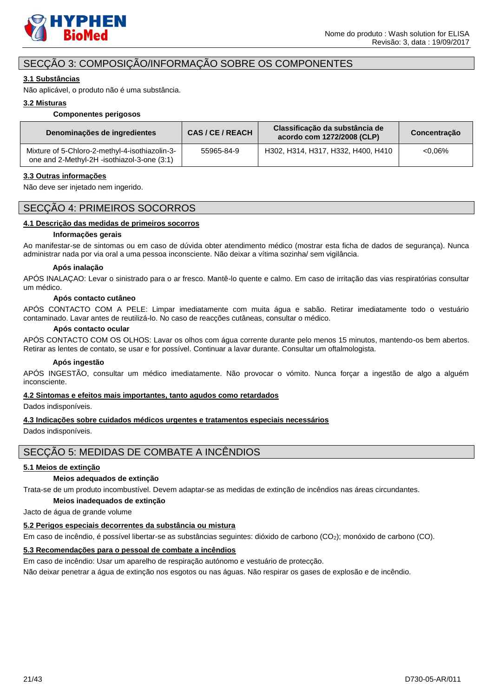

# SECÇÃO 3: COMPOSIÇÃO/INFORMAÇÃO SOBRE OS COMPONENTES

# **3.1 Substâncias**

Não aplicável, o produto não é uma substância.

# **3.2 Misturas**

#### **Componentes perigosos**

| Denominações de ingredientes                                                                  | CAS/CE/REACH | Classificação da substância de<br>acordo com 1272/2008 (CLP) | Concentração |
|-----------------------------------------------------------------------------------------------|--------------|--------------------------------------------------------------|--------------|
| Mixture of 5-Chloro-2-methyl-4-isothiazolin-3-<br>one and 2-Methyl-2H -isothiazol-3-one (3:1) | 55965-84-9   | H302, H314, H317, H332, H400, H410                           | $&0.06\%$    |

# **3.3 Outras informações**

Não deve ser injetado nem ingerido.

# SECÇÃO 4: PRIMEIROS SOCORROS

# **4.1 Descrição das medidas de primeiros socorros**

### **Informações gerais**

Ao manifestar-se de sintomas ou em caso de dúvida obter atendimento médico (mostrar esta ficha de dados de segurança). Nunca administrar nada por via oral a uma pessoa inconsciente. Não deixar a vítima sozinha/ sem vigilância.

# **Após inalação**

APÓS INALAÇAO: Levar o sinistrado para o ar fresco. Mantê-lo quente e calmo. Em caso de irritação das vias respiratórias consultar um médico.

### **Após contacto cutâneo**

APÓS CONTACTO COM A PELE: Limpar imediatamente com muita água e sabão. Retirar imediatamente todo o vestuário contaminado. Lavar antes de reutilizá-lo. No caso de reacções cutâneas, consultar o médico.

### **Após contacto ocular**

APÓS CONTACTO COM OS OLHOS: Lavar os olhos com água corrente durante pelo menos 15 minutos, mantendo-os bem abertos. Retirar as lentes de contato, se usar e for possível. Continuar a lavar durante. Consultar um oftalmologista.

### **Após ingestão**

APÓS INGESTÃO, consultar um médico imediatamente. Não provocar o vómito. Nunca forçar a ingestão de algo a alguém inconsciente.

### **4.2 Sintomas e efeitos mais importantes, tanto agudos como retardados**

Dados indisponíveis.

### **4.3 Indicações sobre cuidados médicos urgentes e tratamentos especiais necessários**

Dados indisponíveis.

# SECÇÃO 5: MEDIDAS DE COMBATE A INCÊNDIOS

# **5.1 Meios de extinção**

# **Meios adequados de extinção**

Trata-se de um produto incombustível. Devem adaptar-se as medidas de extinção de incêndios nas áreas circundantes.

### **Meios inadequados de extinção**

Jacto de água de grande volume

### **5.2 Perigos especiais decorrentes da substância ou mistura**

Em caso de incêndio, é possível libertar-se as substâncias seguintes: dióxido de carbono (CO<sub>2</sub>); monóxido de carbono (CO).

# **5.3 Recomendações para o pessoal de combate a incêndios**

Em caso de incêndio: Usar um aparelho de respiração autónomo e vestuário de protecção.

Não deixar penetrar a água de extinção nos esgotos ou nas águas. Não respirar os gases de explosão e de incêndio.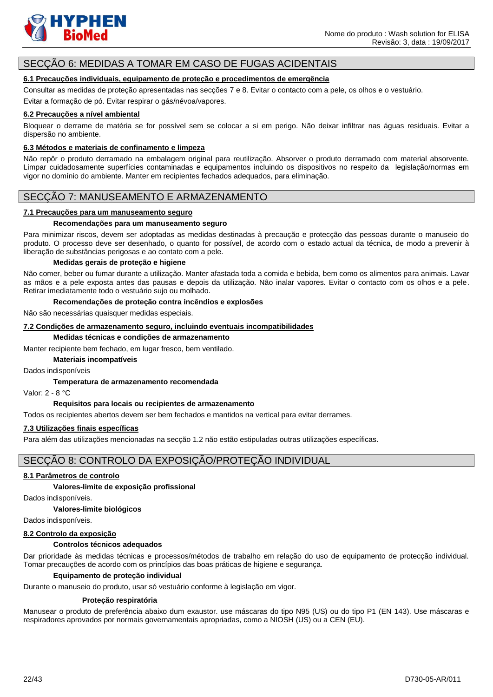

# SECÇÃO 6: MEDIDAS A TOMAR EM CASO DE FUGAS ACIDENTAIS

# **6.1 Precauções individuais, equipamento de proteção e procedimentos de emergência**

Consultar as medidas de proteção apresentadas nas secções 7 e 8. Evitar o contacto com a pele, os olhos e o vestuário.

Evitar a formação de pó. Evitar respirar o gás/névoa/vapores.

#### **6.2 Precauções a nível ambiental**

Bloquear o derrame de matéria se for possível sem se colocar a si em perigo. Não deixar infiltrar nas águas residuais. Evitar a dispersão no ambiente.

#### **6.3 Métodos e materiais de confinamento e limpeza**

Não repôr o produto derramado na embalagem original para reutilização. Absorver o produto derramado com material absorvente. Limpar cuidadosamente superfícies contaminadas e equipamentos incluindo os dispositivos no respeito da legislação/normas em vigor no domínio do ambiente. Manter em recipientes fechados adequados, para eliminação.

# SECÇÃO 7: MANUSEAMENTO E ARMAZENAMENTO

# **7.1 Precauções para um manuseamento seguro**

# **Recomendações para um manuseamento seguro**

Para minimizar riscos, devem ser adoptadas as medidas destinadas à precaução e protecção das pessoas durante o manuseio do produto. O processo deve ser desenhado, o quanto for possível, de acordo com o estado actual da técnica, de modo a prevenir à liberação de substâncias perigosas e ao contato com a pele.

#### **Medidas gerais de proteção e higiene**

Não comer, beber ou fumar durante a utilização. Manter afastada toda a comida e bebida, bem como os alimentos para animais. Lavar as mãos e a pele exposta antes das pausas e depois da utilização. Não inalar vapores. Evitar o contacto com os olhos e a pele. Retirar imediatamente todo o vestuário sujo ou molhado.

#### **Recomendações de proteção contra incêndios e explosões**

Não são necessárias quaisquer medidas especiais.

**7.2 Condições de armazenamento seguro, incluindo eventuais incompatibilidades**

#### **Medidas técnicas e condições de armazenamento**

Manter recipiente bem fechado, em lugar fresco, bem ventilado.

**Materiais incompatíveis**

Dados indisponíveis

### **Temperatura de armazenamento recomendada**

Valor: 2 - 8 °C

# **Requisitos para locais ou recipientes de armazenamento**

Todos os recipientes abertos devem ser bem fechados e mantidos na vertical para evitar derrames.

### **7.3 Utilizações finais específicas**

Para além das utilizações mencionadas na secção 1.2 não estão estipuladas outras utilizações específicas.

# SECÇÃO 8: CONTROLO DA EXPOSIÇÃO/PROTEÇÃO INDIVIDUAL

### **8.1 Parâmetros de controlo**

### **Valores-limite de exposição profissional**

Dados indisponíveis.

**Valores-limite biológicos** 

Dados indisponíveis.

# **8.2 Controlo da exposição**

### **Controlos técnicos adequados**

Dar prioridade às medidas técnicas e processos/métodos de trabalho em relação do uso de equipamento de protecção individual. Tomar precauções de acordo com os princípios das boas práticas de higiene e segurança.

#### **Equipamento de proteção individual**

Durante o manuseio do produto, usar só vestuário conforme à legislação em vigor.

#### **Proteção respiratória**

Manusear o produto de preferência abaixo dum exaustor. use máscaras do tipo N95 (US) ou do tipo P1 (EN 143). Use máscaras e respiradores aprovados por normais governamentais apropriadas, como a NIOSH (US) ou a CEN (EU).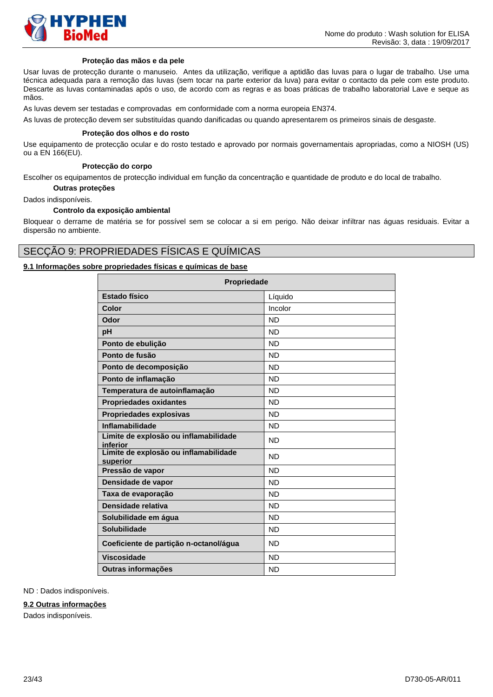

### **Proteção das mãos e da pele**

Usar luvas de protecção durante o manuseio. Antes da utilização, verifique a aptidão das luvas para o lugar de trabalho. Use uma técnica adequada para a remoção das luvas (sem tocar na parte exterior da luva) para evitar o contacto da pele com este produto. Descarte as luvas contaminadas após o uso, de acordo com as regras e as boas práticas de trabalho laboratorial Lave e seque as mãos.

As luvas devem ser testadas e comprovadas em conformidade com a norma europeia EN374.

As luvas de protecção devem ser substituídas quando danificadas ou quando apresentarem os primeiros sinais de desgaste.

# **Proteção dos olhos e do rosto**

Use equipamento de protecção ocular e do rosto testado e aprovado por normais governamentais apropriadas, como a NIOSH (US) ou a EN 166(EU).

#### **Protecção do corpo**

Escolher os equipamentos de protecção individual em função da concentração e quantidade de produto e do local de trabalho.

**Outras proteções**

Dados indisponíveis.

### **Controlo da exposição ambiental**

Bloquear o derrame de matéria se for possível sem se colocar a si em perigo. Não deixar infiltrar nas águas residuais. Evitar a dispersão no ambiente.

# SECÇÃO 9: PROPRIEDADES FÍSICAS E QUÍMICAS

# **9.1 Informações sobre propriedades físicas e químicas de base**

| Propriedade                                       |           |  |
|---------------------------------------------------|-----------|--|
| <b>Estado físico</b>                              | Líquido   |  |
| Color                                             | Incolor   |  |
| Odor                                              | <b>ND</b> |  |
| pH                                                | <b>ND</b> |  |
| Ponto de ebulição                                 | <b>ND</b> |  |
| Ponto de fusão                                    | <b>ND</b> |  |
| Ponto de decomposição                             | <b>ND</b> |  |
| Ponto de inflamação                               | <b>ND</b> |  |
| Temperatura de autoinflamação                     | <b>ND</b> |  |
| <b>Propriedades oxidantes</b>                     | <b>ND</b> |  |
| <b>Propriedades explosivas</b>                    | <b>ND</b> |  |
| Inflamabilidade                                   | <b>ND</b> |  |
| Limite de explosão ou inflamabilidade<br>inferior | <b>ND</b> |  |
| Limite de explosão ou inflamabilidade<br>superior | <b>ND</b> |  |
| Pressão de vapor                                  | <b>ND</b> |  |
| Densidade de vapor                                | <b>ND</b> |  |
| Taxa de evaporação                                | <b>ND</b> |  |
| Densidade relativa                                | <b>ND</b> |  |
| Solubilidade em água                              | <b>ND</b> |  |
| <b>Solubilidade</b>                               | <b>ND</b> |  |
| Coeficiente de partição n-octanol/água            | <b>ND</b> |  |
| <b>Viscosidade</b>                                | <b>ND</b> |  |
| Outras informações                                | <b>ND</b> |  |

ND : Dados indisponíveis.

# **9.2 Outras informações**

Dados indisponíveis.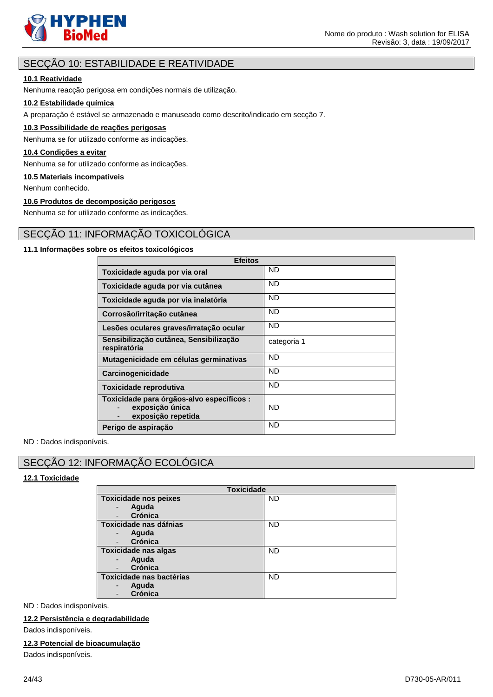

# SECÇÃO 10: ESTABILIDADE E REATIVIDADE

# **10.1 Reatividade**

Nenhuma reacção perigosa em condições normais de utilização.

# **10.2 Estabilidade química**

A preparação é estável se armazenado e manuseado como descrito/indicado em secção 7.

# **10.3 Possibilidade de reações perigosas**

Nenhuma se for utilizado conforme as indicações.

# **10.4 Condições a evitar**

Nenhuma se for utilizado conforme as indicações.

# **10.5 Materiais incompatíveis**

Nenhum conhecido.

### **10.6 Produtos de decomposição perigosos**

Nenhuma se for utilizado conforme as indicações.

# SECÇÃO 11: INFORMAÇÃO TOXICOLÓGICA

# **11.1 Informações sobre os efeitos toxicológicos**

| <b>Efeitos</b>                                                                     |             |  |
|------------------------------------------------------------------------------------|-------------|--|
| Toxicidade aguda por via oral                                                      | <b>ND</b>   |  |
| Toxicidade aguda por via cutânea                                                   | <b>ND</b>   |  |
| Toxicidade aguda por via inalatória                                                | <b>ND</b>   |  |
| Corrosão/irritação cutânea                                                         | <b>ND</b>   |  |
| Lesões oculares graves/irratação ocular                                            | <b>ND</b>   |  |
| Sensibilização cutânea, Sensibilização<br>respiratória                             | categoria 1 |  |
| Mutagenicidade em células germinativas                                             | <b>ND</b>   |  |
| Carcinogenicidade                                                                  | <b>ND</b>   |  |
| Toxicidade reprodutiva                                                             | <b>ND</b>   |  |
| Toxicidade para órgãos-alvo específicos :<br>exposição única<br>exposição repetida | <b>ND</b>   |  |
| Perigo de aspiração                                                                | <b>ND</b>   |  |

ND : Dados indisponíveis.

# SECÇÃO 12: INFORMAÇÃO ECOLÓGICA

# **12.1 Toxicidade**

| <b>Toxicidade</b>            |           |  |
|------------------------------|-----------|--|
| <b>Toxicidade nos peixes</b> | <b>ND</b> |  |
| Aguda                        |           |  |
| Crónica                      |           |  |
| Toxicidade nas dáfnias       | <b>ND</b> |  |
| Aguda                        |           |  |
| Crónica                      |           |  |
| <b>Toxicidade nas algas</b>  | <b>ND</b> |  |
| Aguda                        |           |  |
| Crónica                      |           |  |
| Toxicidade nas bactérias     | <b>ND</b> |  |
| Aguda<br>-                   |           |  |
| <b>Crónica</b>               |           |  |

ND : Dados indisponíveis.

#### **12.2 Persistência e degradabilidade**

Dados indisponíveis.

# **12.3 Potencial de bioacumulação**

Dados indisponíveis.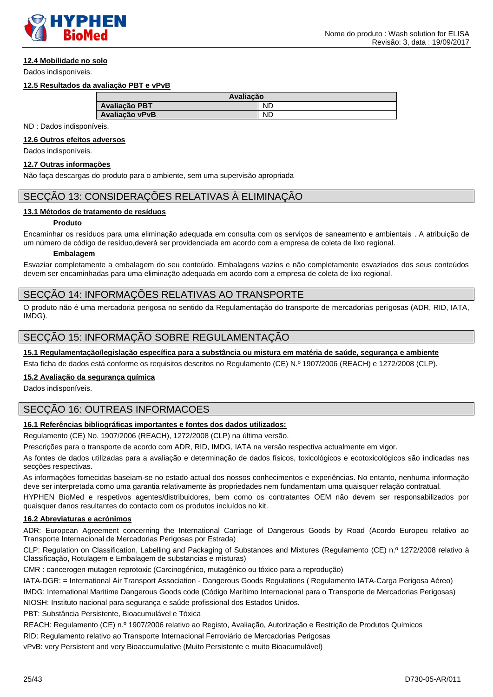

# **12.4 Mobilidade no solo**

Dados indisponíveis.

# **12.5 Resultados da avaliação PBT e vPvB**

| Avaliação      |    |
|----------------|----|
| Avaliação PBT  | ND |
| Avaliação vPvB | ND |

ND : Dados indisponíveis.

# **12.6 Outros efeitos adversos**

Dados indisponíveis.

# **12.7 Outras informações**

Não faça descargas do produto para o ambiente, sem uma supervisão apropriada

# SECÇÃO 13: CONSIDERAÇÕES RELATIVAS À ELIMINAÇÃO

# **13.1 Métodos de tratamento de resíduos**

### **Produto**

Encaminhar os resíduos para uma eliminação adequada em consulta com os serviços de saneamento e ambientais . A atribuição de um número de código de resíduo,deverá ser providenciada em acordo com a empresa de coleta de lixo regional.

# **Embalagem**

Esvaziar completamente a embalagem do seu conteúdo. Embalagens vazios e não completamente esvaziados dos seus conteúdos devem ser encaminhadas para uma eliminação adequada em acordo com a empresa de coleta de lixo regional.

# SECÇÃO 14: INFORMAÇÕES RELATIVAS AO TRANSPORTE

O produto não é uma mercadoria perigosa no sentido da Regulamentação do transporte de mercadorias perigosas (ADR, RID, IATA, IMDG).

# SECÇÃO 15: INFORMAÇÃO SOBRE REGULAMENTAÇÃO

# **15.1 Regulamentação/legislação específica para a substância ou mistura em matéria de saúde, segurança e ambiente**

Esta ficha de dados está conforme os requisitos descritos no Regulamento (CE) N.º 1907/2006 (REACH) e 1272/2008 (CLP).

# **15.2 Avaliação da segurança química**

Dados indisponíveis.

# SECÇÃO 16: OUTREAS INFORMACOES

# **16.1 Referências bibliográficas importantes e fontes dos dados utilizados:**

Regulamento (CE) No. 1907/2006 (REACH), 1272/2008 (CLP) na última versão.

Prescrições para o transporte de acordo com ADR, RID, IMDG, IATA na versão respectiva actualmente em vigor.

As fontes de dados utilizadas para a avaliação e determinação de dados físicos, toxicológicos e ecotoxicológicos são indicadas nas secções respectivas.

As informações fornecidas baseiam-se no estado actual dos nossos conhecimentos e experiências. No entanto, nenhuma informação deve ser interpretada como uma garantia relativamente às propriedades nem fundamentam uma quaisquer relação contratual.

HYPHEN BioMed e respetivos agentes/distribuidores, bem como os contratantes OEM não devem ser responsabilizados por quaisquer danos resultantes do contacto com os produtos incluídos no kit.

# **16.2 Abreviaturas e acrónimos**

ADR: European Agreement concerning the International Carriage of Dangerous Goods by Road (Acordo Europeu relativo ao Transporte Internacional de Mercadorias Perigosas por Estrada)

CLP: Regulation on Classification, Labelling and Packaging of Substances and Mixtures (Regulamento (CE) n.º 1272/2008 relativo à Classificação, Rotulagem e Embalagem de substancias e misturas)

CMR : cancerogen mutagen reprotoxic (Carcinogénico, mutagénico ou tóxico para a reprodução)

IATA-DGR: = International Air Transport Association - Dangerous Goods Regulations ( Regulamento IATA-Carga Perigosa Aéreo)

IMDG: International Maritime Dangerous Goods code (Código Marítimo Internacional para o Transporte de Mercadorias Perigosas) NIOSH: Instituto nacional para segurança e saúde profissional dos Estados Unidos.

PBT: Substância Persistente, Bioacumulável e Tóxica

REACH: Regulamento (CE) n.º 1907/2006 relativo ao Registo, Avaliação, Autorização e Restrição de Produtos Químicos

RID: Regulamento relativo ao Transporte Internacional Ferroviário de Mercadorias Perigosas

vPvB: very Persistent and very Bioaccumulative (Muito Persistente e muito Bioacumulável)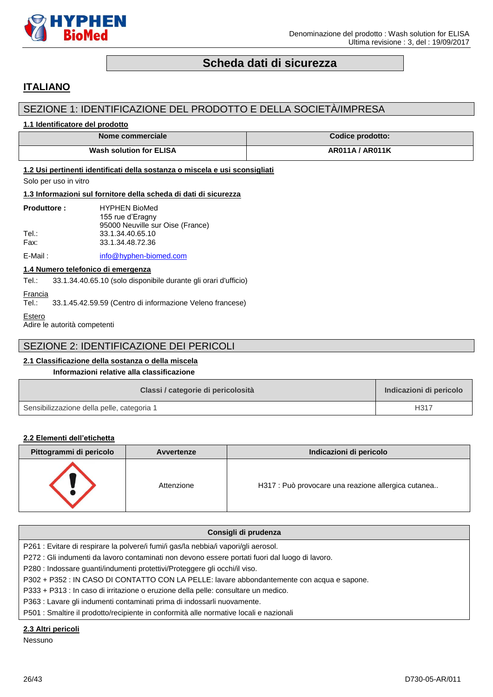

# **Scheda dati di sicurezza**

# <span id="page-25-0"></span>**ITALIANO**

# SEZIONE 1: IDENTIFICAZIONE DEL PRODOTTO E DELLA SOCIETÀ/IMPRESA

### **1.1 Identificatore del prodotto**

| Nome commerciale               | Codice prodotto:       |
|--------------------------------|------------------------|
| <b>Wash solution for ELISA</b> | <b>AR011A / AR011K</b> |

# **1.2 Usi pertinenti identificati della sostanza o miscela e usi sconsigliati**

Solo per uso in vitro

# **1.3 Informazioni sul fornitore della scheda di dati di sicurezza**

| <b>Produttore:</b> | <b>HYPHEN BioMed</b>             |
|--------------------|----------------------------------|
|                    | 155 rue d'Eragny                 |
|                    | 95000 Neuville sur Oise (France) |
| Tel.:              | 33.1.34.40.65.10                 |
| Fax:               | 33.1.34.48.72.36                 |
|                    |                                  |

E-Mail: [info@hyphen-biomed.com](mailto:info@hyphen-biomed.com)

# **1.4 Numero telefonico di emergenza**

Tel.: 33.1.34.40.65.10 (solo disponibile durante gli orari d'ufficio)

Francia<br>Tel.: 33.1.45.42.59.59 (Centro di informazione Veleno francese)

# **Estero**

Adire le autorità competenti

# SEZIONE 2: IDENTIFICAZIONE DEI PERICOLI

# **2.1 Classificazione della sostanza o della miscela**

**Informazioni relative alla classificazione**

| Classi / categorie di pericolosità         | Indicazioni di pericolo |
|--------------------------------------------|-------------------------|
| Sensibilizzazione della pelle, categoria 1 | H317                    |

# **2.2 Elementi dell'etichetta**

| Pittogrammi di pericolo | Avvertenze | Indicazioni di pericolo                             |
|-------------------------|------------|-----------------------------------------------------|
|                         | Attenzione | H317 : Può provocare una reazione allergica cutanea |

| Consigli di prudenza                                                                            |
|-------------------------------------------------------------------------------------------------|
| P261 : Evitare di respirare la polvere/i fumi/i gas/la nebbia/i vapori/gli aerosol.             |
| P272 : Gli indumenti da lavoro contaminati non devono essere portati fuori dal luogo di lavoro. |
| P280 : Indossare guanti/indumenti protettivi/Proteggere gli occhi/il viso.                      |
| P302 + P352 : IN CASO DI CONTATTO CON LA PELLE: lavare abbondantemente con acqua e sapone.      |
| P333 + P313 : In caso di irritazione o eruzione della pelle: consultare un medico.              |
| P363 : Lavare gli indumenti contaminati prima di indossarli nuovamente.                         |
| P501 : Smaltire il prodotto/recipiente in conformità alle normative locali e nazionali          |
| O O Altat manialati                                                                             |

# **2.3 Altri pericoli**

Nessuno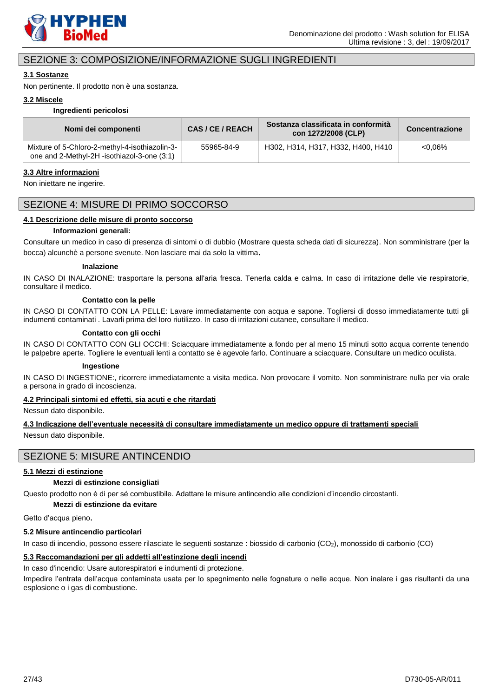

# SEZIONE 3: COMPOSIZIONE/INFORMAZIONE SUGLI INGREDIENTI

# **3.1 Sostanze**

Non pertinente. Il prodotto non è una sostanza.

# **3.2 Miscele**

#### **Ingredienti pericolosi**

| Nomi dei componenti                                                                           | CAS/CE/REACH | Sostanza classificata in conformità<br>con 1272/2008 (CLP) | <b>Concentrazione</b> |
|-----------------------------------------------------------------------------------------------|--------------|------------------------------------------------------------|-----------------------|
| Mixture of 5-Chloro-2-methyl-4-isothiazolin-3-<br>one and 2-Methyl-2H -isothiazol-3-one (3:1) | 55965-84-9   | H302, H314, H317, H332, H400, H410                         | $<0.06\%$             |

# **3.3 Altre informazioni**

Non iniettare ne ingerire.

# SEZIONE 4: MISURE DI PRIMO SOCCORSO

# **4.1 Descrizione delle misure di pronto soccorso**

# **Informazioni generali:**

Consultare un medico in caso di presenza di sintomi o di dubbio (Mostrare questa scheda dati di sicurezza). Non somministrare (per la bocca) alcunchè a persone svenute. Non lasciare mai da solo la vittima.

# **Inalazione**

IN CASO DI INALAZIONE: trasportare la persona all'aria fresca. Tenerla calda e calma. In caso di irritazione delle vie respiratorie, consultare il medico.

### **Contatto con la pelle**

IN CASO DI CONTATTO CON LA PELLE: Lavare immediatamente con acqua e sapone. Togliersi di dosso immediatamente tutti gli indumenti contaminati . Lavarli prima del loro riutilizzo. In caso di irritazioni cutanee, consultare il medico.

#### **Contatto con gli occhi**

IN CASO DI CONTATTO CON GLI OCCHI: Sciacquare immediatamente a fondo per al meno 15 minuti sotto acqua corrente tenendo le palpebre aperte. Togliere le eventuali lenti a contatto se è agevole farlo. Continuare a sciacquare. Consultare un medico oculista.

#### **Ingestione**

IN CASO DI INGESTIONE:, ricorrere immediatamente a visita medica. Non provocare il vomito. Non somministrare nulla per via orale a persona in grado di incoscienza.

### **4.2 Principali sintomi ed effetti, sia acuti e che ritardati**

Nessun dato disponibile.

# **4.3 Indicazione dell'eventuale necessità di consultare immediatamente un medico oppure di trattamenti speciali**

Nessun dato disponibile.

# SEZIONE 5: MISURE ANTINCENDIO

### **5.1 Mezzi di estinzione**

### **Mezzi di estinzione consigliati**

Questo prodotto non è di per sé combustibile. Adattare le misure antincendio alle condizioni d'incendio circostanti.

**Mezzi di estinzione da evitare**

Getto d'acqua pieno.

### **5.2 Misure antincendio particolari**

In caso di incendio, possono essere rilasciate le sequenti sostanze : biossido di carbonio (CO<sub>2</sub>), monossido di carbonio (CO)

### **5.3 Raccomandazioni per gli addetti all'estinzione degli incendi**

In caso d'incendio: Usare autorespiratori e indumenti di protezione.

Impedire l'entrata dell'acqua contaminata usata per lo spegnimento nelle fognature o nelle acque. Non inalare i gas risultanti da una esplosione o i gas di combustione.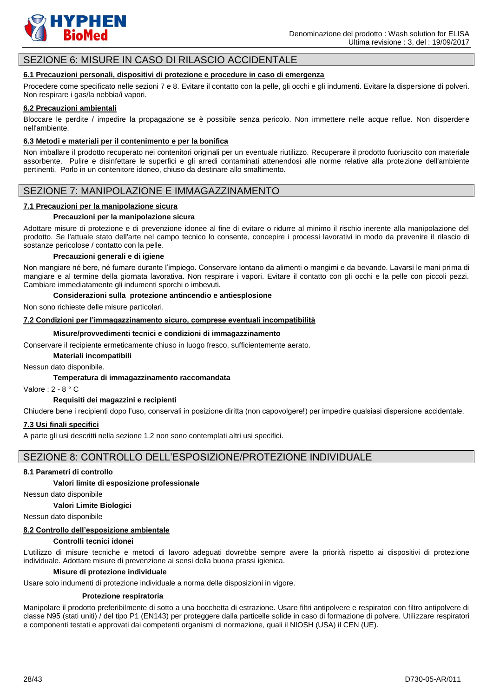

# SEZIONE 6: MISURE IN CASO DI RILASCIO ACCIDENTALE

# **6.1 Precauzioni personali, dispositivi di protezione e procedure in caso di emergenza**

Procedere come specificato nelle sezioni 7 e 8. Evitare il contatto con la pelle, gli occhi e gli indumenti. Evitare la dispersione di polveri. Non respirare i gas/la nebbia/i vapori.

# **6.2 Precauzioni ambientali**

Bloccare le perdite / impedire la propagazione se è possibile senza pericolo. Non immettere nelle acque reflue. Non disperdere nell'ambiente.

# **6.3 Metodi e materiali per il contenimento e per la bonifica**

Non imballare il prodotto recuperato nei contenitori originali per un eventuale riutilizzo. Recuperare il prodotto fuoriuscito con materiale assorbente. Pulire e disinfettare le superfici e gli arredi contaminati attenendosi alle norme relative alla protezione dell'ambiente pertinenti. Porlo in un contenitore idoneo, chiuso da destinare allo smaltimento.

# SEZIONE 7: MANIPOLAZIONE E IMMAGAZZINAMENTO

# **7.1 Precauzioni per la manipolazione sicura**

### **Precauzioni per la manipolazione sicura**

Adottare misure di protezione e di prevenzione idonee al fine di evitare o ridurre al minimo il rischio inerente alla manipolazione del prodotto. Se l'attuale stato dell'arte nel campo tecnico lo consente, concepire i processi lavorativi in modo da prevenire il rilascio di sostanze pericolose / contatto con la pelle.

### **Precauzioni generali e di igiene**

Non mangiare né bere, né fumare durante l'impiego. Conservare lontano da alimenti o mangimi e da bevande. Lavarsi le mani prima di mangiare e al termine della giornata lavorativa. Non respirare i vapori. Evitare il contatto con gli occhi e la pelle con piccoli pezzi. Cambiare immediatamente gli indumenti sporchi o imbevuti.

### **Considerazioni sulla protezione antincendio e antiesplosione**

Non sono richieste delle misure particolari.

# **7.2 Condizioni per l'immagazzinamento sicuro, comprese eventuali incompatibilità**

#### **Misure/provvedimenti tecnici e condizioni di immagazzinamento**

Conservare il recipiente ermeticamente chiuso in luogo fresco, sufficientemente aerato.

### **Materiali incompatibili**

Nessun dato disponibile.

### **Temperatura di immagazzinamento raccomandata**

Valore : 2 - 8 ° C

# **Requisiti dei magazzini e recipienti**

Chiudere bene i recipienti dopo l'uso, conservali in posizione diritta (non capovolgere!) per impedire qualsiasi dispersione accidentale.

### **7.3 Usi finali specifici**

A parte gli usi descritti nella sezione 1.2 non sono contemplati altri usi specifici.

# SEZIONE 8: CONTROLLO DELL'ESPOSIZIONE/PROTEZIONE INDIVIDUALE

# **8.1 Parametri di controllo**

### **Valori limite di esposizione professionale**

Nessun dato disponibile

**Valori Limite Biologici**

Nessun dato disponibile

# **8.2 Controllo dell'esposizione ambientale**

### **Controlli tecnici idonei**

L'utilizzo di misure tecniche e metodi di lavoro adeguati dovrebbe sempre avere la priorità rispetto ai dispositivi di protezione individuale. Adottare misure di prevenzione ai sensi della buona prassi igienica.

# **Misure di protezione individuale**

Usare solo indumenti di protezione individuale a norma delle disposizioni in vigore.

#### **Protezione respiratoria**

Manipolare il prodotto preferibilmente di sotto a una bocchetta di estrazione. Usare filtri antipolvere e respiratori con filtro antipolvere di classe N95 (stati uniti) / del tipo P1 (EN143) per proteggere dalla particelle solide in caso di formazione di polvere. Utilizzare respiratori e componenti testati e approvati dai competenti organismi di normazione, quali il NIOSH (USA) il CEN (UE).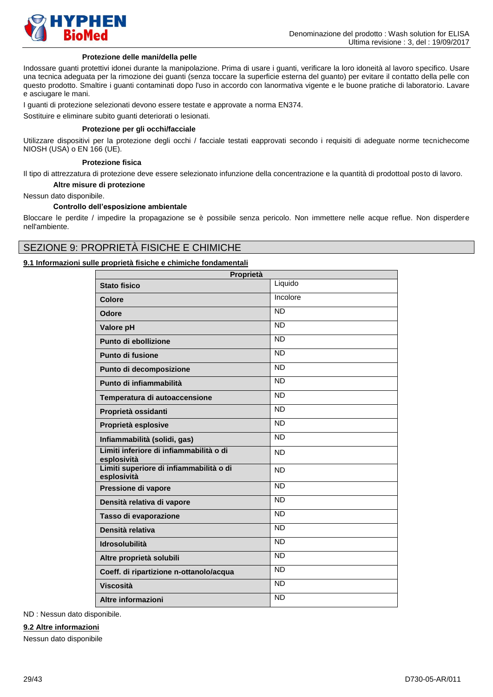

### **Protezione delle mani/della pelle**

Indossare guanti protettivi idonei durante la manipolazione. Prima di usare i guanti, verificare la loro idoneità al lavoro specifico. Usare una tecnica adeguata per la rimozione dei guanti (senza toccare la superficie esterna del guanto) per evitare il contatto della pelle con questo prodotto. Smaltire i guanti contaminati dopo l'uso in accordo con lanormativa vigente e le buone pratiche di laboratorio. Lavare e asciugare le mani.

I guanti di protezione selezionati devono essere testate e approvate a norma EN374.

Sostituire e eliminare subito guanti deteriorati o lesionati.

### **Protezione per gli occhi/facciale**

Utilizzare dispositivi per la protezione degli occhi / facciale testati eapprovati secondo i requisiti di adeguate norme tecnichecome NIOSH (USA) o EN 166 (UE).

# **Protezione fisica**

Il tipo di attrezzatura di protezione deve essere selezionato infunzione della concentrazione e la quantità di prodottoal posto di lavoro.

**Altre misure di protezione**

# Nessun dato disponibile.

# **Controllo dell'esposizione ambientale**

Bloccare le perdite / impedire la propagazione se è possibile senza pericolo. Non immettere nelle acque reflue. Non disperdere nell'ambiente.

# SEZIONE 9: PROPRIETÀ FISICHE E CHIMICHE

# **9.1 Informazioni sulle proprietà fisiche e chimiche fondamentali**

| Proprietà                                              |           |  |
|--------------------------------------------------------|-----------|--|
| <b>Stato fisico</b>                                    | Liquido   |  |
| Colore                                                 | Incolore  |  |
| <b>Odore</b>                                           | <b>ND</b> |  |
| Valore pH                                              | <b>ND</b> |  |
| Punto di ebollizione                                   | <b>ND</b> |  |
| Punto di fusione                                       | <b>ND</b> |  |
| Punto di decomposizione                                | <b>ND</b> |  |
| Punto di infiammabilità                                | <b>ND</b> |  |
| Temperatura di autoaccensione                          | <b>ND</b> |  |
| Proprietà ossidanti                                    | <b>ND</b> |  |
| Proprietà esplosive                                    | <b>ND</b> |  |
| Infiammabilità (solidi, gas)                           | <b>ND</b> |  |
| Limiti inferiore di infiammabilità o di<br>esplosività | <b>ND</b> |  |
| Limiti superiore di infiammabilità o di<br>esplosività | <b>ND</b> |  |
| Pressione di vapore                                    | <b>ND</b> |  |
| Densità relativa di vapore                             | <b>ND</b> |  |
| Tasso di evaporazione                                  | <b>ND</b> |  |
| Densità relativa                                       | <b>ND</b> |  |
| <b>Idrosolubilità</b>                                  | <b>ND</b> |  |
| Altre proprietà solubili                               | <b>ND</b> |  |
| Coeff. di ripartizione n-ottanolo/acqua                | <b>ND</b> |  |
| <b>Viscosità</b>                                       | <b>ND</b> |  |
| Altre informazioni                                     | <b>ND</b> |  |

ND : Nessun dato disponibile.

### **9.2 Altre informazioni**

Nessun dato disponibile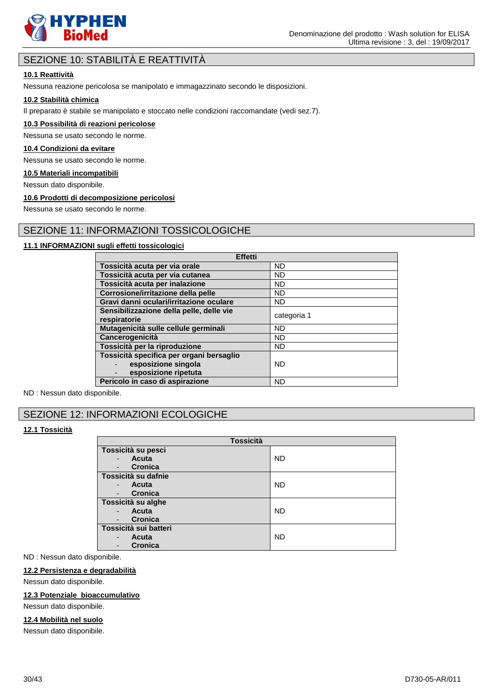

# SEZIONE 10: STABILITÀ E REATTIVITÀ

# **10.1 Reattività**

Nessuna reazione pericolosa se manipolato e immagazzinato secondo le disposizioni.

# **10.2 Stabilità chimica**

Il preparato è stabile se manipolato e stoccato nelle condizioni raccomandate (vedi sez.7).

# **10.3 Possibilità di reazioni pericolose**

Nessuna se usato secondo le norme.

# **10.4 Condizioni da evitare**

Nessuna se usato secondo le norme.

**10.5 Materiali incompatibili**

Nessun dato disponibile.

# **10.6 Prodotti di decomposizione pericolosi**

Nessuna se usato secondo le norme.

# SEZIONE 11: INFORMAZIONI TOSSICOLOGICHE

# **11.1 INFORMAZIONI sugli effetti tossicologici**

| <b>Effetti</b>                                                                                    |             |
|---------------------------------------------------------------------------------------------------|-------------|
| Tossicità acuta per via orale                                                                     | <b>ND</b>   |
| Tossicità acuta per via cutanea                                                                   | <b>ND</b>   |
| Tossicità acuta per inalazione                                                                    | <b>ND</b>   |
| Corrosione/irritazione della pelle                                                                | <b>ND</b>   |
| Gravi danni oculari/irritazione oculare                                                           | <b>ND</b>   |
| Sensibilizzazione della pelle, delle vie<br>respiratorie                                          | categoria 1 |
| Mutagenicità sulle cellule germinali                                                              | <b>ND</b>   |
| Cancerogenicità                                                                                   | <b>ND</b>   |
| Tossicità per la riproduzione                                                                     | <b>ND</b>   |
| Tossicità specifica per organi bersaglio<br>esposizione singola<br>٠<br>esposizione ripetuta<br>- | <b>ND</b>   |
| Pericolo in caso di aspirazione                                                                   | <b>ND</b>   |

ND : Nessun dato disponibile.

# SEZIONE 12: INFORMAZIONI ECOLOGICHE

# **12.1 Tossicità**

| <b>Tossicità</b>      |           |
|-----------------------|-----------|
| Tossicità su pesci    |           |
| Acuta                 | <b>ND</b> |
| Cronica               |           |
| Tossicità su dafnie   |           |
| Acuta                 | <b>ND</b> |
| Cronica               |           |
| Tossicità su alghe    |           |
| Acuta                 | <b>ND</b> |
| Cronica               |           |
| Tossicità sui batteri |           |
| <b>Acuta</b>          | <b>ND</b> |
| <b>Cronica</b>        |           |

ND : Nessun dato disponibile.

# **12.2 Persistenza e degradabilità**

Nessun dato disponibile.

# **12.3 Potenziale bioaccumulativo**

Nessun dato disponibile.

# **12.4 Mobilità nel suolo**

Nessun dato disponibile.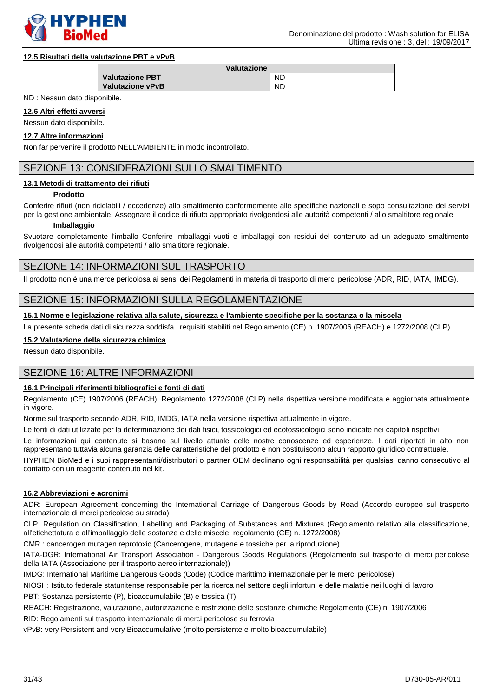

# **12.5 Risultati della valutazione PBT e vPvB**

| Valutazione             |           |
|-------------------------|-----------|
| <b>Valutazione PBT</b>  | <b>ND</b> |
| <b>Valutazione vPvB</b> | <b>ND</b> |

# ND : Nessun dato disponibile.

**12.6 Altri effetti avversi**

Nessun dato disponibile.

### **12.7 Altre informazioni**

Non far pervenire il prodotto NELL'AMBIENTE in modo incontrollato.

# SEZIONE 13: CONSIDERAZIONI SULLO SMALTIMENTO

### **13.1 Metodi di trattamento dei rifiuti**

### **Prodotto**

Conferire rifiuti (non riciclabili / eccedenze) allo smaltimento conformemente alle specifiche nazionali e sopo consultazione dei servizi per la gestione ambientale. Assegnare il codice di rifiuto appropriato rivolgendosi alle autorità competenti / allo smaltitore regionale.

#### **Imballaggio**

Svuotare completamente l'imballo Conferire imballaggi vuoti e imballaggi con residui del contenuto ad un adeguato smaltimento rivolgendosi alle autorità competenti / allo smaltitore regionale.

# SEZIONE 14: INFORMAZIONI SUL TRASPORTO

Il prodotto non è una merce pericolosa ai sensi dei Regolamenti in materia di trasporto di merci pericolose (ADR, RID, IATA, IMDG).

# SEZIONE 15: INFORMAZIONI SULLA REGOLAMENTAZIONE

# **15.1 Norme e legislazione relativa alla salute, sicurezza e l'ambiente specifiche per la sostanza o la miscela**

La presente scheda dati di sicurezza soddisfa i requisiti stabiliti nel Regolamento (CE) n. 1907/2006 (REACH) e 1272/2008 (CLP).

# **15.2 Valutazione della sicurezza chimica**

Nessun dato disponibile.

# SEZIONE 16: ALTRE INFORMAZIONI

# **16.1 Principali riferimenti bibliografici e fonti di dati**

Regolamento (CE) 1907/2006 (REACH), Regolamento 1272/2008 (CLP) nella rispettiva versione modificata e aggiornata attualmente in vigore.

Norme sul trasporto secondo ADR, RID, IMDG, IATA nella versione rispettiva attualmente in vigore.

Le fonti di dati utilizzate per la determinazione dei dati fisici, tossicologici ed ecotossicologici sono indicate nei capitoli rispettivi.

Le informazioni qui contenute si basano sul livello attuale delle nostre conoscenze ed esperienze. I dati riportati in alto non rappresentano tuttavia alcuna garanzia delle caratteristiche del prodotto e non costituiscono alcun rapporto giuridico contrattuale.

HYPHEN BioMed e i suoi rappresentanti/distributori o partner OEM declinano ogni responsabilità per qualsiasi danno consecutivo al contatto con un reagente contenuto nel kit.

# **16.2 Abbreviazioni e acronimi**

ADR: European Agreement concerning the International Carriage of Dangerous Goods by Road (Accordo europeo sul trasporto internazionale di merci pericolose su strada)

CLP: Regulation on Classification, Labelling and Packaging of Substances and Mixtures (Regolamento relativo alla classificazione, all'etichettatura e all'imballaggio delle sostanze e delle miscele; regolamento (CE) n. 1272/2008)

CMR : cancerogen mutagen reprotoxic (Cancerogene, mutagene e tossiche per la riproduzione)

IATA-DGR: International Air Transport Association - Dangerous Goods Regulations (Regolamento sul trasporto di merci pericolose della IATA (Associazione per il trasporto aereo internazionale))

IMDG: International Maritime Dangerous Goods (Code) (Codice marittimo internazionale per le merci pericolose)

NIOSH: Istituto federale statunitense responsabile per la ricerca nel settore degli infortuni e delle malattie nei luoghi di lavoro PBT: Sostanza persistente (P), bioaccumulabile (B) e tossica (T)

REACH: Registrazione, valutazione, autorizzazione e restrizione delle sostanze chimiche Regolamento (CE) n. 1907/2006

RID: Regolamenti sul trasporto internazionale di merci pericolose su ferrovia

vPvB: very Persistent and very Bioaccumulative (molto persistente e molto bioaccumulabile)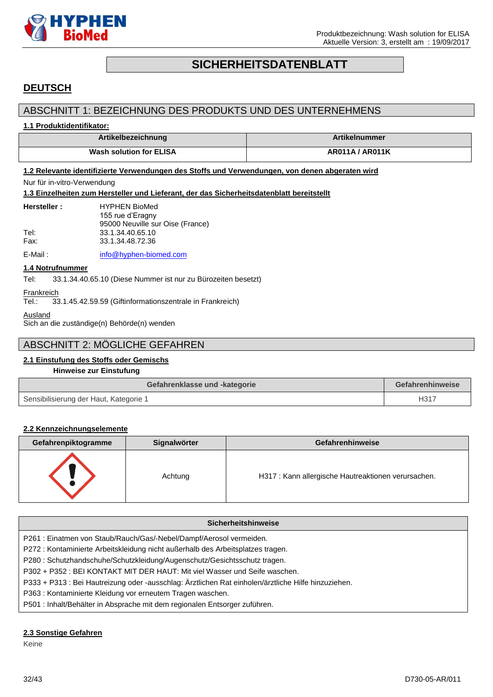

# **SICHERHEITSDATENBLATT**

# <span id="page-31-0"></span>**DEUTSCH**

# ABSCHNITT 1: BEZEICHNUNG DES PRODUKTS UND DES UNTERNEHMENS

# **1.1 Produktidentifikator:**

| Artikelbezeichnung      | <b>Artikelnummer</b>   |
|-------------------------|------------------------|
| Wash solution for ELISA | <b>AR011A / AR011K</b> |

# **1.2 Relevante identifizierte Verwendungen des Stoffs und Verwendungen, von denen abgeraten wird**

Nur für in-vitro-Verwendung

**1.3 Einzelheiten zum Hersteller und Lieferant, der das Sicherheitsdatenblatt bereitstellt**

| Hersteller: | <b>HYPHEN BioMed</b>             |
|-------------|----------------------------------|
|             | 155 rue d'Eragny                 |
|             | 95000 Neuville sur Oise (France) |
| Tel:        | 33.1.34.40.65.10                 |
| Fax:        | 33.1.34.48.72.36                 |
|             |                                  |

E-Mail : [info@hyphen-biomed.com](mailto:info@hyphen-biomed.com)

# **1.4 Notrufnummer**

Tel: 33.1.34.40.65.10 (Diese Nummer ist nur zu Bürozeiten besetzt)

#### Frankreich

Tel.: 33.1.45.42.59.59 (Giftinformationszentrale in Frankreich)

#### Ausland

Sich an die zuständige(n) Behörde(n) wenden

# ABSCHNITT 2: MÖGLICHE GEFAHREN

# **2.1 Einstufung des Stoffs oder Gemischs**

### **Hinweise zur Einstufung**

| Gefahrenklasse und -kategorie          | Gefahrenhinweise |
|----------------------------------------|------------------|
| Sensibilisierung der Haut, Kategorie 1 | H317             |

# **2.2 Kennzeichnungselemente**

| Gefahrenpiktogramme | Signalwörter | Gefahrenhinweise                                    |
|---------------------|--------------|-----------------------------------------------------|
|                     | Achtung      | H317 : Kann allergische Hautreaktionen verursachen. |

| <b>Sicherheitshinweise</b>                                                                          |
|-----------------------------------------------------------------------------------------------------|
| P261 : Einatmen von Staub/Rauch/Gas/-Nebel/Dampf/Aerosol vermeiden.                                 |
| P272 : Kontaminierte Arbeitskleidung nicht außerhalb des Arbeitsplatzes tragen.                     |
| P280: Schutzhandschuhe/Schutzkleidung/Augenschutz/Gesichtsschutz tragen.                            |
| P302 + P352 : BEI KONTAKT MIT DER HAUT: Mit viel Wasser und Seife waschen.                          |
| P333 + P313 : Bei Hautreizung oder -ausschlag: Ärztlichen Rat einholen/ärztliche Hilfe hinzuziehen. |
| P363 : Kontaminierte Kleidung vor erneutem Tragen waschen.                                          |
| P501 : Inhalt/Behälter in Absprache mit dem regionalen Entsorger zuführen.                          |

# **2.3 Sonstige Gefahren**

Keine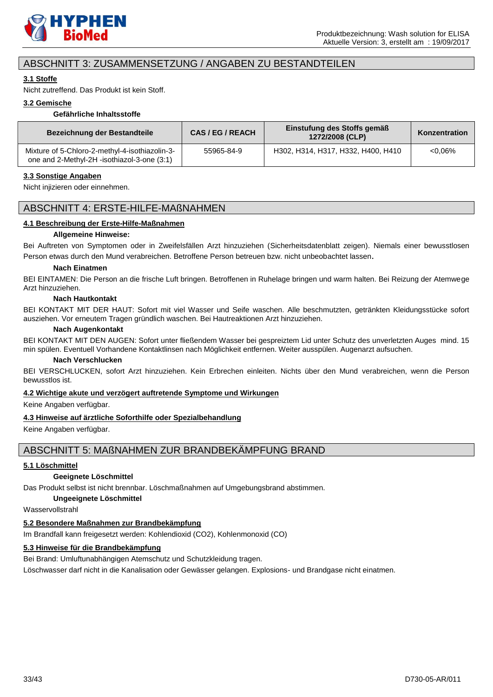

# ABSCHNITT 3: ZUSAMMENSETZUNG / ANGABEN ZU BESTANDTEILEN

# **3.1 Stoffe**

Nicht zutreffend. Das Produkt ist kein Stoff.

# **3.2 Gemische**

**Gefährliche Inhaltsstoffe**

| Bezeichnung der Bestandteile                                                                  | CAS/EG/REACH | Einstufung des Stoffs gemäß<br>1272/2008 (CLP) | Konzentration |
|-----------------------------------------------------------------------------------------------|--------------|------------------------------------------------|---------------|
| Mixture of 5-Chloro-2-methyl-4-isothiazolin-3-<br>one and 2-Methyl-2H -isothiazol-3-one (3:1) | 55965-84-9   | H302, H314, H317, H332, H400, H410             | $0.06\%$      |

# **3.3 Sonstige Angaben**

Nicht injizieren oder einnehmen.

# ABSCHNITT 4: ERSTE-HILFE-MAßNAHMEN

# **4.1 Beschreibung der Erste-Hilfe-Maßnahmen**

# **Allgemeine Hinweise:**

Bei Auftreten von Symptomen oder in Zweifelsfällen Arzt hinzuziehen (Sicherheitsdatenblatt zeigen). Niemals einer bewusstlosen Person etwas durch den Mund verabreichen. Betroffene Person betreuen bzw. nicht unbeobachtet lassen.

### **Nach Einatmen**

BEI EINTAMEN: Die Person an die frische Luft bringen. Betroffenen in Ruhelage bringen und warm halten. Bei Reizung der Atemwege Arzt hinzuziehen.

# **Nach Hautkontakt**

BEI KONTAKT MIT DER HAUT: Sofort mit viel Wasser und Seife waschen. Alle beschmutzten, getränkten Kleidungsstücke sofort ausziehen. Vor erneutem Tragen gründlich waschen. Bei Hautreaktionen Arzt hinzuziehen.

### **Nach Augenkontakt**

BEI KONTAKT MIT DEN AUGEN: Sofort unter fließendem Wasser bei gespreiztem Lid unter Schutz des unverletzten Auges mind. 15 min spülen. Eventuell Vorhandene Kontaktlinsen nach Möglichkeit entfernen. Weiter ausspülen. Augenarzt aufsuchen.

### **Nach Verschlucken**

BEI VERSCHLUCKEN, sofort Arzt hinzuziehen. Kein Erbrechen einleiten. Nichts über den Mund verabreichen, wenn die Person bewusstlos ist.

# **4.2 Wichtige akute und verzögert auftretende Symptome und Wirkungen**

# Keine Angaben verfügbar.

### **4.3 Hinweise auf ärztliche Soforthilfe oder Spezialbehandlung**

Keine Angaben verfügbar.

# ABSCHNITT 5: MAßNAHMEN ZUR BRANDBEKÄMPFUNG BRAND

# **5.1 Löschmittel**

### **Geeignete Löschmittel**

Das Produkt selbst ist nicht brennbar. Löschmaßnahmen auf Umgebungsbrand abstimmen.

### **Ungeeignete Löschmittel**

Wasservollstrahl

# **5.2 Besondere Maßnahmen zur Brandbekämpfung**

Im Brandfall kann freigesetzt werden: Kohlendioxid (CO2), Kohlenmonoxid (CO)

# **5.3 Hinweise für die Brandbekämpfung**

Bei Brand: Umluftunabhängigen Atemschutz und Schutzkleidung tragen.

Löschwasser darf nicht in die Kanalisation oder Gewässer gelangen. Explosions- und Brandgase nicht einatmen.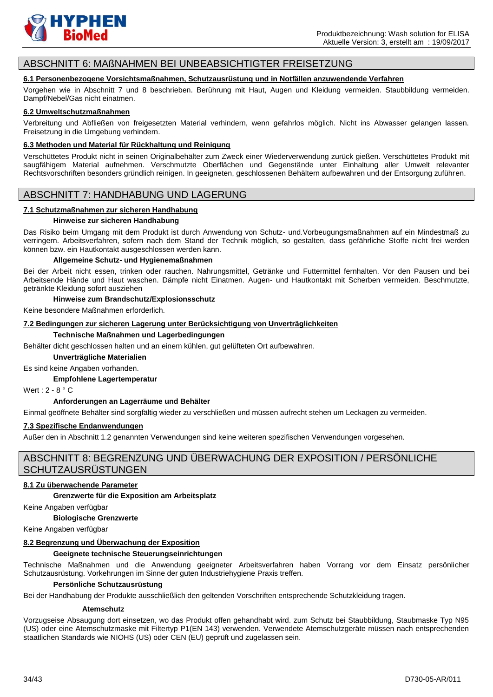

# ABSCHNITT 6: MAßNAHMEN BEI UNBEABSICHTIGTER FREISETZUNG

# **6.1 Personenbezogene Vorsichtsmaßnahmen, Schutzausrüstung und in Notfällen anzuwendende Verfahren**

Vorgehen wie in Abschnitt 7 und 8 beschrieben. Berührung mit Haut, Augen und Kleidung vermeiden. Staubbildung vermeiden. Dampf/Nebel/Gas nicht einatmen.

# **6.2 Umweltschutzmaßnahmen**

Verbreitung und Abfließen von freigesetzten Material verhindern, wenn gefahrlos möglich. Nicht ins Abwasser gelangen lassen. Freisetzung in die Umgebung verhindern.

# **6.3 Methoden und Material für Rückhaltung und Reinigung**

Verschüttetes Produkt nicht in seinen Originalbehälter zum Zweck einer Wiederverwendung zurück gießen. Verschüttetes Produkt mit saugfähigem Material aufnehmen. Verschmutzte Oberflächen und Gegenstände unter Einhaltung aller Umwelt relevanter Rechtsvorschriften besonders gründlich reinigen. In geeigneten, geschlossenen Behältern aufbewahren und der Entsorgung zuführen.

# ABSCHNITT 7: HANDHABUNG UND LAGERUNG

# **7.1 Schutzmaßnahmen zur sicheren Handhabung**

### **Hinweise zur sicheren Handhabung**

Das Risiko beim Umgang mit dem Produkt ist durch Anwendung von Schutz- und.Vorbeugungsmaßnahmen auf ein Mindestmaß zu verringern. Arbeitsverfahren, sofern nach dem Stand der Technik möglich, so gestalten, dass gefährliche Stoffe nicht frei werden können bzw. ein Hautkontakt ausgeschlossen werden kann.

### **Allgemeine Schutz- und Hygienemaßnahmen**

Bei der Arbeit nicht essen, trinken oder rauchen. Nahrungsmittel, Getränke und Futtermittel fernhalten. Vor den Pausen und bei Arbeitsende Hände und Haut waschen. Dämpfe nicht Einatmen. Augen- und Hautkontakt mit Scherben vermeiden. Beschmutzte, getränkte Kleidung sofort ausziehen

### **Hinweise zum Brandschutz/Explosionsschutz**

Keine besondere Maßnahmen erforderlich.

### **7.2 Bedingungen zur sicheren Lagerung unter Berücksichtigung von Unverträglichkeiten**

### **Technische Maßnahmen und Lagerbedingungen**

Behälter dicht geschlossen halten und an einem kühlen, gut gelüfteten Ort aufbewahren.

# **Unverträgliche Materialien**

Es sind keine Angaben vorhanden.

# **Empfohlene Lagertemperatur**

Wert : 2 - 8 ° C

# **Anforderungen an Lagerräume und Behälter**

Einmal geöffnete Behälter sind sorgfältig wieder zu verschließen und müssen aufrecht stehen um Leckagen zu vermeiden.

### **7.3 Spezifische Endanwendungen**

Außer den in Abschnitt 1.2 genannten Verwendungen sind keine weiteren spezifischen Verwendungen vorgesehen.

# ABSCHNITT 8: BEGRENZUNG UND ÜBERWACHUNG DER EXPOSITION / PERSÖNLICHE **SCHUTZAUSRÜSTUNGEN**

### **8.1 Zu überwachende Parameter**

**Grenzwerte für die Exposition am Arbeitsplatz**

Keine Angaben verfügbar

# **Biologische Grenzwerte**

Keine Angaben verfügbar

### **8.2 Begrenzung und Überwachung der Exposition**

### **Geeignete technische Steuerungseinrichtungen**

Technische Maßnahmen und die Anwendung geeigneter Arbeitsverfahren haben Vorrang vor dem Einsatz persönlicher Schutzausrüstung. Vorkehrungen im Sinne der guten Industriehygiene Praxis treffen.

### **Persönliche Schutzausrüstung**

Bei der Handhabung der Produkte ausschließlich den geltenden Vorschriften entsprechende Schutzkleidung tragen.

### **Atemschutz**

Vorzugseise Absaugung dort einsetzen, wo das Produkt offen gehandhabt wird. zum Schutz bei Staubbildung, Staubmaske Typ N95 (US) oder eine Atemschutzmaske mit Filtertyp P1(EN 143) verwenden. Verwendete Atemschutzgeräte müssen nach entsprechenden staatlichen Standards wie NIOHS (US) oder CEN (EU) geprüft und zugelassen sein.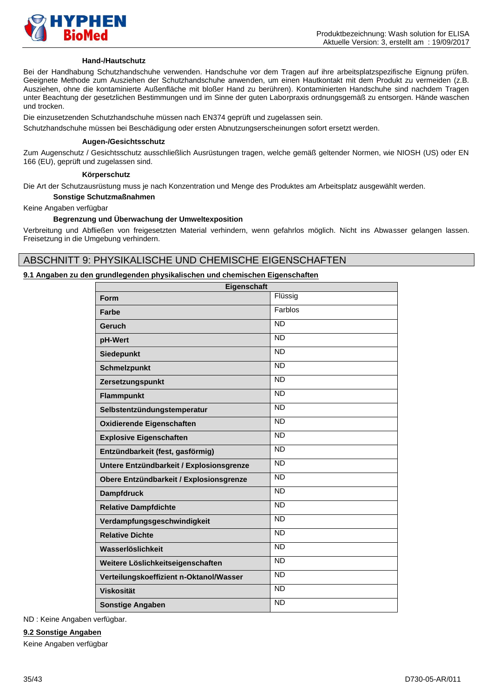

#### **Hand-/Hautschutz**

Bei der Handhabung Schutzhandschuhe verwenden. Handschuhe vor dem Tragen auf ihre arbeitsplatzspezifische Eignung prüfen. Geeignete Methode zum Ausziehen der Schutzhandschuhe anwenden, um einen Hautkontakt mit dem Produkt zu vermeiden (z.B. Ausziehen, ohne die kontaminierte Außenfläche mit bloßer Hand zu berühren). Kontaminierten Handschuhe sind nachdem Tragen unter Beachtung der gesetzlichen Bestimmungen und im Sinne der guten Laborpraxis ordnungsgemäß zu entsorgen. Hände waschen und trocken.

Die einzusetzenden Schutzhandschuhe müssen nach EN374 geprüft und zugelassen sein.

Schutzhandschuhe müssen bei Beschädigung oder ersten Abnutzungserscheinungen sofort ersetzt werden.

#### **Augen-/Gesichtsschutz**

Zum Augenschutz / Gesichtsschutz ausschließlich Ausrüstungen tragen, welche gemäß geltender Normen, wie NIOSH (US) oder EN 166 (EU), geprüft und zugelassen sind.

#### **Körperschutz**

Die Art der Schutzausrüstung muss je nach Konzentration und Menge des Produktes am Arbeitsplatz ausgewählt werden.

# **Sonstige Schutzmaßnahmen**

Keine Angaben verfügbar

### **Begrenzung und Überwachung der Umweltexposition**

Verbreitung und Abfließen von freigesetzten Material verhindern, wenn gefahrlos möglich. Nicht ins Abwasser gelangen lassen. Freisetzung in die Umgebung verhindern.

# ABSCHNITT 9: PHYSIKALISCHE UND CHEMISCHE EIGENSCHAFTEN

**9.1 Angaben zu den grundlegenden physikalischen und chemischen Eigenschaften**

| Eigenschaft                              |           |  |
|------------------------------------------|-----------|--|
| Form                                     | Flüssig   |  |
| <b>Farbe</b>                             | Farblos   |  |
| <b>Geruch</b>                            | <b>ND</b> |  |
| pH-Wert                                  | <b>ND</b> |  |
| <b>Siedepunkt</b>                        | <b>ND</b> |  |
| <b>Schmelzpunkt</b>                      | <b>ND</b> |  |
| Zersetzungspunkt                         | <b>ND</b> |  |
| <b>Flammpunkt</b>                        | <b>ND</b> |  |
| Selbstentzündungstemperatur              | <b>ND</b> |  |
| <b>Oxidierende Eigenschaften</b>         | <b>ND</b> |  |
| <b>Explosive Eigenschaften</b>           | <b>ND</b> |  |
| Entzündbarkeit (fest, gasförmig)         | <b>ND</b> |  |
| Untere Entzündbarkeit / Explosionsgrenze | <b>ND</b> |  |
| Obere Entzündbarkeit / Explosionsgrenze  | <b>ND</b> |  |
| <b>Dampfdruck</b>                        | <b>ND</b> |  |
| <b>Relative Dampfdichte</b>              | <b>ND</b> |  |
| Verdampfungsgeschwindigkeit              | <b>ND</b> |  |
| <b>Relative Dichte</b>                   | <b>ND</b> |  |
| Wasserlöslichkeit                        | <b>ND</b> |  |
| Weitere Löslichkeitseigenschaften        | <b>ND</b> |  |
| Verteilungskoeffizient n-Oktanol/Wasser  | <b>ND</b> |  |
| <b>Viskosität</b>                        | <b>ND</b> |  |
| <b>Sonstige Angaben</b>                  | <b>ND</b> |  |

ND : Keine Angaben verfügbar.

# **9.2 Sonstige Angaben**

Keine Angaben verfügbar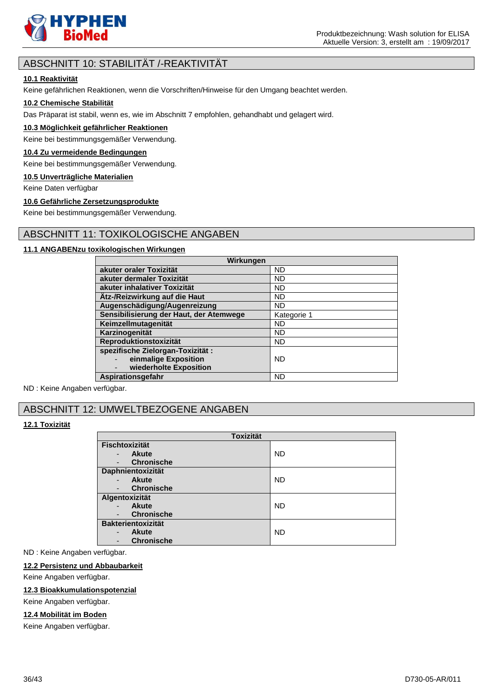

# ABSCHNITT 10: STABILITÄT /-REAKTIVITÄT

# **10.1 Reaktivität**

Keine gefährlichen Reaktionen, wenn die Vorschriften/Hinweise für den Umgang beachtet werden.

# **10.2 Chemische Stabilität**

Das Präparat ist stabil, wenn es, wie im Abschnitt 7 empfohlen, gehandhabt und gelagert wird.

# **10.3 Möglichkeit gefährlicher Reaktionen**

Keine bei bestimmungsgemäßer Verwendung.

# **10.4 Zu vermeidende Bedingungen**

Keine bei bestimmungsgemäßer Verwendung.

# **10.5 Unverträgliche Materialien**

Keine Daten verfügbar

# **10.6 Gefährliche Zersetzungsprodukte**

Keine bei bestimmungsgemäßer Verwendung.

# ABSCHNITT 11: TOXIKOLOGISCHE ANGABEN

# **11.1 ANGABENzu toxikologischen Wirkungen**

| Wirkungen                                                                          |             |
|------------------------------------------------------------------------------------|-------------|
| akuter oraler Toxizität                                                            | <b>ND</b>   |
| akuter dermaler Toxizität                                                          | <b>ND</b>   |
| akuter inhalativer Toxizität                                                       | <b>ND</b>   |
| Ätz-/Reizwirkung auf die Haut                                                      | <b>ND</b>   |
| Augenschädigung/Augenreizung                                                       | ND.         |
| Sensibilisierung der Haut, der Atemwege                                            | Kategorie 1 |
| Keimzellmutagenität                                                                | <b>ND</b>   |
| Karzinogenität                                                                     | <b>ND</b>   |
| Reproduktionstoxizität                                                             | <b>ND</b>   |
| spezifische Zielorgan-Toxizität:<br>einmalige Exposition<br>wiederholte Exposition | ND.         |
| Aspirationsgefahr                                                                  | <b>ND</b>   |

ND : Keine Angaben verfügbar.

# ABSCHNITT 12: UMWELTBEZOGENE ANGABEN

# **12.1 Toxizität**

| <b>Toxizität</b>          |           |
|---------------------------|-----------|
| <b>Fischtoxizität</b>     |           |
| <b>Akute</b><br>-         | <b>ND</b> |
| <b>Chronische</b>         |           |
| Daphnientoxizität         |           |
| Akute                     | <b>ND</b> |
| <b>Chronische</b>         |           |
| Algentoxizität            |           |
| Akute                     | <b>ND</b> |
| <b>Chronische</b>         |           |
| <b>Bakterientoxizität</b> |           |
| <b>Akute</b>              | <b>ND</b> |
| <b>Chronische</b><br>-    |           |

ND : Keine Angaben verfügbar.

# **12.2 Persistenz und Abbaubarkeit**

Keine Angaben verfügbar.

#### **12.3 Bioakkumulationspotenzial**

Keine Angaben verfügbar.

# **12.4 Mobilität im Boden**

Keine Angaben verfügbar.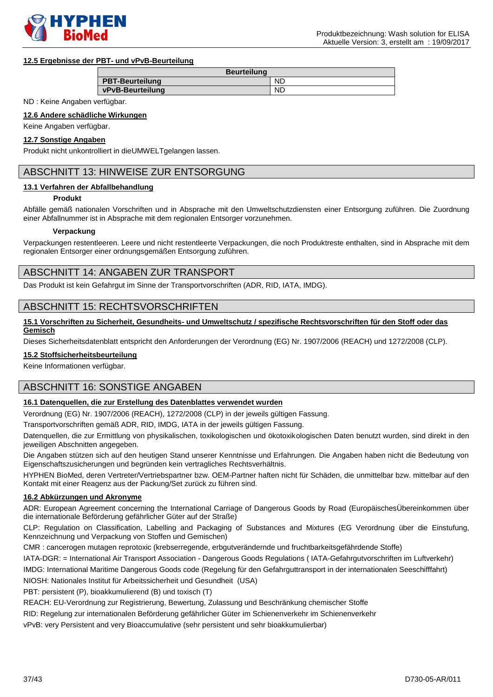

# **12.5 Ergebnisse der PBT- und vPvB-Beurteilung**

| <b>Beurteilung</b>     |           |
|------------------------|-----------|
| <b>PBT-Beurteilung</b> | <b>ND</b> |
| vPvB-Beurteilung       | <b>ND</b> |

ND : Keine Angaben verfügbar.

# **12.6 Andere schädliche Wirkungen**

Keine Angaben verfügbar.

### **12.7 Sonstige Angaben**

Produkt nicht unkontrolliert in dieUMWELTgelangen lassen.

# ABSCHNITT 13: HINWEISE ZUR ENTSORGUNG

### **13.1 Verfahren der Abfallbehandlung**

### **Produkt**

Abfälle gemäß nationalen Vorschriften und in Absprache mit den Umweltschutzdiensten einer Entsorgung zuführen. Die Zuordnung einer Abfallnummer ist in Absprache mit dem regionalen Entsorger vorzunehmen.

#### **Verpackung**

Verpackungen restentleeren. Leere und nicht restentleerte Verpackungen, die noch Produktreste enthalten, sind in Absprache mit dem regionalen Entsorger einer ordnungsgemäßen Entsorgung zuführen.

# ABSCHNITT 14: ANGABEN ZUR TRANSPORT

Das Produkt ist kein Gefahrgut im Sinne der Transportvorschriften (ADR, RID, IATA, IMDG).

# ABSCHNITT 15: RECHTSVORSCHRIFTEN

# **15.1 Vorschriften zu Sicherheit, Gesundheits- und Umweltschutz / spezifische Rechtsvorschriften für den Stoff oder das Gemisch**

Dieses Sicherheitsdatenblatt entspricht den Anforderungen der Verordnung (EG) Nr. 1907/2006 (REACH) und 1272/2008 (CLP).

# **15.2 Stoffsicherheitsbeurteilung**

Keine Informationen verfügbar.

# ABSCHNITT 16: SONSTIGE ANGABEN

# **16.1 Datenquellen, die zur Erstellung des Datenblattes verwendet wurden**

Verordnung (EG) Nr. 1907/2006 (REACH), 1272/2008 (CLP) in der jeweils gültigen Fassung.

Transportvorschriften gemäß ADR, RID, IMDG, IATA in der jeweils gültigen Fassung.

Datenquellen, die zur Ermittlung von physikalischen, toxikologischen und ökotoxikologischen Daten benutzt wurden, sind direkt in den jeweiligen Abschnitten angegeben.

Die Angaben stützen sich auf den heutigen Stand unserer Kenntnisse und Erfahrungen. Die Angaben haben nicht die Bedeutung von Eigenschaftszusicherungen und begründen kein vertragliches Rechtsverhältnis.

HYPHEN BioMed, deren Vertreter/Vertriebspartner bzw. OEM-Partner haften nicht für Schäden, die unmittelbar bzw. mittelbar auf den Kontakt mit einer Reagenz aus der Packung/Set zurück zu führen sind.

# **16.2 Abkürzungen und Akronyme**

ADR: European Agreement concerning the International Carriage of Dangerous Goods by Road (EuropäischesÜbereinkommen über die internationale Beförderung gefährlicher Güter auf der Straße)

CLP: Regulation on Classification, Labelling and Packaging of Substances and Mixtures (EG Verordnung über die Einstufung, Kennzeichnung und Verpackung von Stoffen und Gemischen)

CMR : cancerogen mutagen reprotoxic (krebserregende, erbgutverändernde und fruchtbarkeitsgefährdende Stoffe)

IATA-DGR: = International Air Transport Association - Dangerous Goods Regulations ( IATA-Gefahrgutvorschriften im Luftverkehr)

IMDG: International Maritime Dangerous Goods code (Regelung für den Gefahrguttransport in der internationalen Seeschifffahrt)

NIOSH: Nationales Institut für Arbeitssicherheit und Gesundheit (USA)

PBT: persistent (P), bioakkumulierend (B) und toxisch (T)

REACH: EU-Verordnung zur Registrierung, Bewertung, Zulassung und Beschränkung chemischer Stoffe

RID: Regelung zur internationalen Beförderung gefährlicher Güter im Schienenverkehr im Schienenverkehr

vPvB: very Persistent and very Bioaccumulative (sehr persistent und sehr bioakkumulierbar)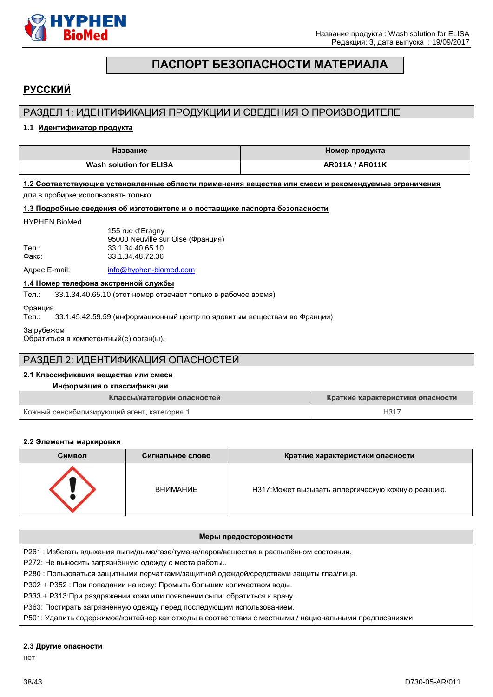

# **ПАСПОРТ БЕЗОПАСНОСТИ МАТЕРИАЛА**

# <span id="page-37-0"></span>**РУССКИЙ**

# РАЗДЕЛ 1: ИДЕНТИФИКАЦИЯ ПРОДУКЦИИ И СВЕДЕНИЯ О ПРОИЗВОДИТЕЛЕ

# **1.1 Идентификатор продукта**

| Название                | <b>Номер продукта</b> |
|-------------------------|-----------------------|
| Wash solution for ELISA | AR011A / AR011K       |

# **1.2 Соответствующие установленные области применения вещества или смеси и рекомендуемые ограничения**

для в пробирке использовать только

### **1.3 Подробные сведения об изготовителе и о поставщике паспорта безопасности**

# HYPHEN BioMed

|       | 155 rue d'Eragny                  |
|-------|-----------------------------------|
|       | 95000 Neuville sur Oise (Франция) |
| Тел.: | 33.1.34.40.65.10                  |
| Факс: | 33.1.34.48.72.36                  |
|       |                                   |

Адрес E-mail: [info@hyphen-biomed.com](mailto:info@hyphen-biomed.com)

### **1.4 Номер телефона экстренной службы**

Тел.: 33.1.34.40.65.10 (этот номер отвечает только в рабочее время)

Франция

Тел.: 33.1.45.42.59.59 (информационный центр по ядовитым веществам во Франции)

За рубежом

Обратиться в компетентный(е) орган(ы).

# РАЗДЕЛ 2: ИДЕНТИФИКАЦИЯ ОПАСНОСТЕЙ

# **2.1 Классификация вещества или смеси**

# **Информация о классификации**

| Классы/категории опасностей                 | Краткие характеристики опасности |
|---------------------------------------------|----------------------------------|
| Кожный сенсибилизирующий агент, категория 1 | H <sub>317</sub>                 |

### **2.2 Элементы маркировки**

| Символ | Сигнальное слово | Краткие характеристики опасности                   |
|--------|------------------|----------------------------------------------------|
|        | <b>ВНИМАНИЕ</b>  | НЗ17: Может вызывать аллергическую кожную реакцию. |

| Меры предосторожности                                                                                 |  |  |
|-------------------------------------------------------------------------------------------------------|--|--|
| Р261 : Избегать вдыхания пыли/дыма/газа/тумана/паров/вещества в распылённом состоянии.                |  |  |
| Р272: Не выносить загрязнённую одежду с места работы                                                  |  |  |
| Р280 : Пользоваться защитными перчатками/защитной одеждой/средствами защиты глаз/лица.                |  |  |
| РЗ02 + РЗ52 : При попадании на кожу: Промыть большим количеством воды.                                |  |  |
| РЗЗЗ + РЗ13: При раздражении кожи или появлении сыпи: обратиться к врачу.                             |  |  |
| РЗ63: Постирать загрязнённую одежду перед последующим использованием.                                 |  |  |
| Р501: Удалить содержимое/контейнер как отходы в соответствии с местными / национальными предписаниями |  |  |
|                                                                                                       |  |  |

# **2.3 Другие опасности**

нет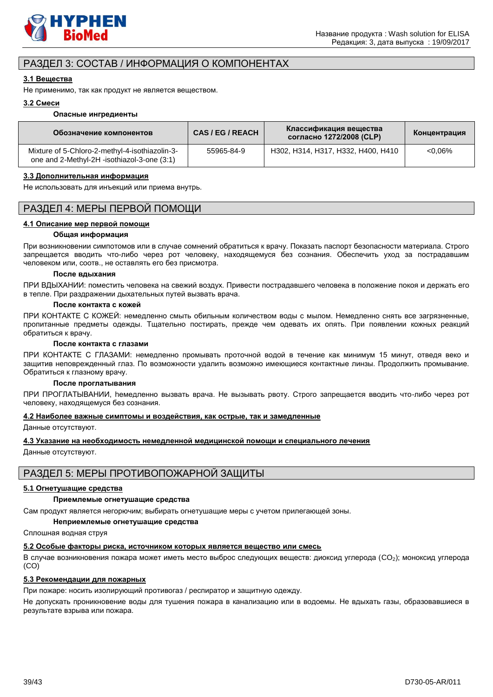

# РАЗДЕЛ 3: СОСТАВ / ИНФОРМАЦИЯ О КОМПОНЕНТАХ

# **3.1 Вещества**

Не применимо, так как продукт не является веществом.

# **3.2 Смеси**

#### **Опасные ингредиенты**

| Обозначение компонентов                                                                       | CAS/EG/REACH | Классификация вещества<br>согласно 1272/2008 (CLP) | Концентрация |
|-----------------------------------------------------------------------------------------------|--------------|----------------------------------------------------|--------------|
| Mixture of 5-Chloro-2-methyl-4-isothiazolin-3-<br>one and 2-Methyl-2H -isothiazol-3-one (3:1) | 55965-84-9   | H302, H314, H317, H332, H400, H410                 | $< 0.06\%$   |

### **3.3 Дополнительная информация**

Не использовать для инъекций или приема внутрь.

# РАЗДЕЛ 4: МЕРЫ ПЕРВОЙ ПОМОЩИ

# **4.1 Описание мер первой помощи**

### **Общая информация**

При возникновении cимпотомов или в случае сомнений обратиться к врачу. Показать паспорт безопасности материала. Строго запрещается вводить что-либо через рот человеку, находящемуся без сознания. Обеспечить уход за пострадавшим человеком или, соотв., не оставлять его без присмотра.

#### **После вдыхания**

ПРИ ВДЫХАНИИ: поместить человека на свежий воздух. Привести пострадавшего человека в положение покоя и держать его в тепле. При раздражении дыхательных путей вызвать врача.

# **После контакта с кожей**

ПРИ КОНТАКТЕ С КОЖЕЙ: немедленно смыть обильным количеством воды с мылом. Немедленно снять все загрязненные, пропитанные предметы одежды. Тщательно постирать, прежде чем одевать их опять. При появлении кожных реакций обратиться к врачу.

#### **После контакта с глазами**

ПРИ КОНТАКТЕ С ГЛАЗАМИ: немедленно промывать проточной водой в течение как минимум 15 минут, отведя веко и защитив неповрежденный глаз. По возможности удалить возможно имеющиеся контактные линзы. Продолжить промывание. Обратиться к глазному врачу.

### **После проглатывания**

ПРИ ПРОГЛАТЫВАНИИ, hемедленно вызвать врача. Не вызывать рвоту. Строго запрещается вводить что-либо через рот человеку, находящемуся без сознания.

# **4.2 Наиболее важные симптомы и воздействия, как острые, так и замедленные**

Данные отсутствуют.

### **4.3 Указание на необходимость немедленной медицинской помощи и специального лечения**

Данные отсутствуют.

# РАЗДЕЛ 5: МЕРЫ ПРОТИВОПОЖАРНОЙ ЗАЩИТЫ

### **5.1 Огнетушащие средства**

### **Приемлемые огнетушащие средства**

Сам продукт является негорючим; выбирать огнетушащие меры с учетом прилегающей зоны.

### **Неприемлемые огнетушащие средства**

Сплошная водная струя

# **5.2 Особые факторы риска, источником которых является вещество или смесь**

В случае возникновения пожара может иметь место выброс следующих веществ: диоксид углерода (CO2); моноксид углерода (CO)

# **5.3 Рекомендации для пожарных**

При пожаре: носить изолирующий противогаз / респиратор и защитную одежду.

Не допускать проникновение воды для тушения пожара в канализацию или в водоемы. Не вдыхать газы, образовавшиеся в результате взрыва или пожара.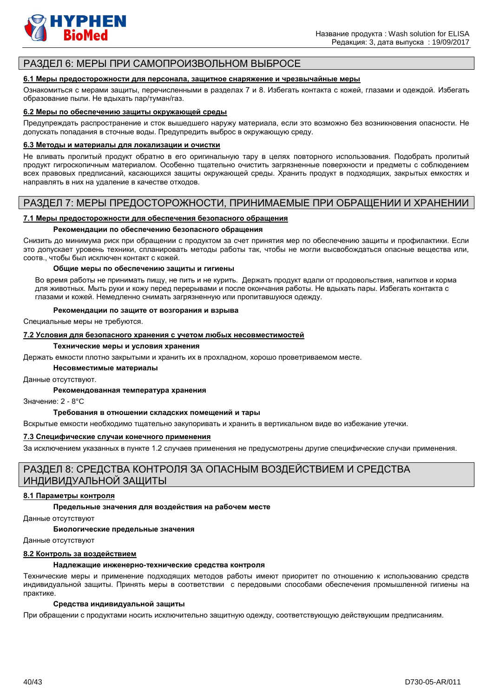

# РАЗДЕЛ 6: МЕРЫ ПРИ САМОПРОИЗВОЛЬНОМ ВЫБРОСЕ

# **6.1 Меры предосторожности для персонала, защитное снаряжение и чрезвычайные меры**

Ознакомиться с мерами защиты, перечисленными в разделах 7 и 8. Избегать контакта с кожей, глазами и одеждой. Избегать образование пыли. Не вдыхать пар/туман/газ.

#### **6.2 Меры по обеспечению защиты окружающей среды**

Предупреждать распространение и сток вышедшего наружу материала, если это возможно без возникновения опасности. Не допускать попадания в сточные воды. Предупредить выброс в окружающую среду.

#### **6.3 Методы и материалы для локализации и очистки**

Не вливать пролитый продукт обратно в его оригинальную тару в целях повторного использования. Подобрать пролитый продукт гигроскопичным материалом. Особенно тщательно очистить загрязненные поверхности и предметы с соблюдением всех правовых предписаний, касающихся защиты окружающей среды. Хранить продукт в подходящих, закрытых емкостях и направлять в них на удаление в качестве отходов.

# РАЗДЕЛ 7: МЕРЫ ПРЕДОСТОРОЖНОСТИ, ПРИНИМАЕМЫЕ ПРИ ОБРАЩЕНИИ И ХРАНЕНИИ

# **7.1 Меры предосторожности для обеспечения безопасного обращения**

#### **Рекомендации по обеспечению безопасного обращения**

Снизить до минимума риск при обращении с продуктом за счет принятия мер по обеспечению защиты и профилактики. Если это допускает уровень техники, спланировать методы работы так, чтобы не могли высвобождаться опасные вещества или, соотв., чтобы был исключен контакт с кожей.

#### **Общие меры по обеспечению защиты и гигиены**

Во время работы не принимать пищу, не пить и не курить. Держать продукт вдали от продовольствия, напитков и корма для животных. Мыть руки и кожу перед перерывами и после окончания работы. Не вдыхать пары. Избегать контакта с глазами и кожей. Немедленно снимать загрязненную или пропитавшуюся одежду.

#### **Рекомендации по защите от возгорания и взрыва**

Специальные меры не требуются.

#### **7.2 Условия для безопасного хранения с учетом любых несовместимостей**

#### **Технические меры и условия хранения**

Держать емкости плотно закрытыми и хранить их в прохладном, хорошо проветриваемом месте.

#### **Несовместимые материалы**

Данные отсутствуют.

### **Рекомендованная температура хранения**

Значение: 2 - 8°C

### **Требования в отношении складских помещений и тары**

Вскрытые емкости необходимо тщательно закупоривать и хранить в вертикальном виде во избежание утечки.

### **7.3 Специфические случаи конечного применения**

За исключением указанных в пункте 1.2 случаев применения не предусмотрены другие специфические случаи применения.

# РАЗДЕЛ 8: СРЕДСТВА КОНТРОЛЯ ЗА ОПАСНЫМ ВОЗДЕЙСТВИЕМ И СРЕДСТВА ИНДИВИДУАЛЬНОЙ ЗАЩИТЫ

### **8.1 Параметры контроля**

**Предельные значения для воздействия на рабочем месте**

Данные отсутствуют

#### **Биологические предельные значения**

Данные отсутствуют

# **8.2 Контроль за воздействием**

### **Надлежащие инженерно-технические средства контроля**

Технические меры и применение подходящих методов работы имеют приоритет по отношению к использованию средств индивидуальной защиты. Принять меры в соответствии с передовыми способами обеспечения промышленной гигиены на практике.

# **Средства индивидуальной защиты**

При обращении с продуктами носить исключительно защитную одежду, соответствующую действующим предписаниям.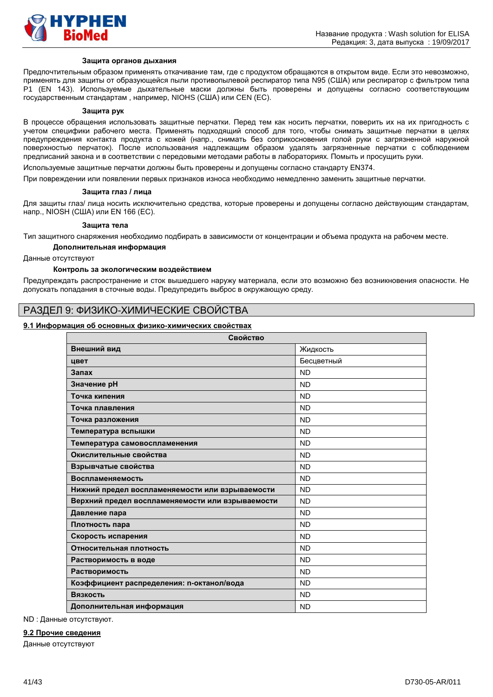

### **Защита органов дыхания**

Предпочтительным образом применять откачивание там, где с продуктом обращаются в открытом виде. Если это невозможно, применять для защиты от образующейся пыли противопылевой респиратор типа N95 (США) или респиратор с фильтром типа P1 (EN 143). Используемые дыхательные маски должны быть проверены и допущены согласно соответствующим государственным стандартам , например, NIOHS (США) или CEN (EС).

#### **Защита рук**

В процессе обращения использовать защитные перчатки. Перед тем как носить перчатки, поверить их на их пригодность с учетом специфики рабочего места. Применять подходящий способ для того, чтобы снимать защитные перчатки в целях предупреждения контакта продукта с кожей (напр., снимать без соприкосновения голой руки с загрязненной наружной поверхностью перчаток). После использования надлежащим образом удалять загрязненные перчатки с соблюдением предписаний закона и в соответствии с передовыми методами работы в лабораториях. Помыть и просущить руки.

Используемые защитные перчатки должны быть проверены и допущены согласно стандарту EN374.

При повреждении или появлении первых признаков износа необходимо немедленно заменить защитные перчатки.

#### **Защита глаз / лица**

Для защиты глаз/ лица носить исключительно средства, которые проверены и допущены согласно действующим стандартам, напр., NIOSH (США) или EN 166 (EС).

#### **Защита тела**

Тип защитного снаряжения необходимо подбирать в зависимости от концентрации и объема продукта на рабочем месте.

# **Дополнительная информация**

Данные отсутствуют

#### **Контроль за экологическим воздействием**

Предупреждать распространение и сток вышедшего наружу материала, если это возможно без возникновения опасности. Не допускать попадания в сточные воды. Предупредить выброс в окружающую среду.

# РАЗДЕЛ 9: ФИЗИКО-ХИМИЧЕСКИЕ СВОЙСТВА

#### **9.1 Информация об основных физико-химических свойствах**

| Свойство                                         |            |  |
|--------------------------------------------------|------------|--|
| Внешний вид                                      | Жидкость   |  |
| цвет                                             | Бесцветный |  |
| Запах                                            | <b>ND</b>  |  |
| Значение рН                                      | <b>ND</b>  |  |
| Точка кипения                                    | <b>ND</b>  |  |
| Точка плавления                                  | <b>ND</b>  |  |
| Точка разложения                                 | <b>ND</b>  |  |
| Температура вспышки                              | <b>ND</b>  |  |
| Температура самовоспламенения                    | <b>ND</b>  |  |
| Окислительные свойства                           | <b>ND</b>  |  |
| Взрывчатые свойства                              | <b>ND</b>  |  |
| Воспламеняемость                                 | <b>ND</b>  |  |
| Нижний предел воспламеняемости или взрываемости  | <b>ND</b>  |  |
| Верхний предел воспламеняемости или взрываемости | <b>ND</b>  |  |
| Давление пара                                    | <b>ND</b>  |  |
| Плотность пара                                   | <b>ND</b>  |  |
| Скорость испарения                               | <b>ND</b>  |  |
| Относительная плотность                          | <b>ND</b>  |  |
| Растворимость в воде                             | <b>ND</b>  |  |
| Растворимость                                    | <b>ND</b>  |  |
| Коэффициент распределения: n-октанол/вода        | <b>ND</b>  |  |
| Вязкость                                         | <b>ND</b>  |  |
| Дополнительная информация                        | <b>ND</b>  |  |

ND : Данные отсутствуют.

# **9.2 Прочие сведения**

Данные отсутствуют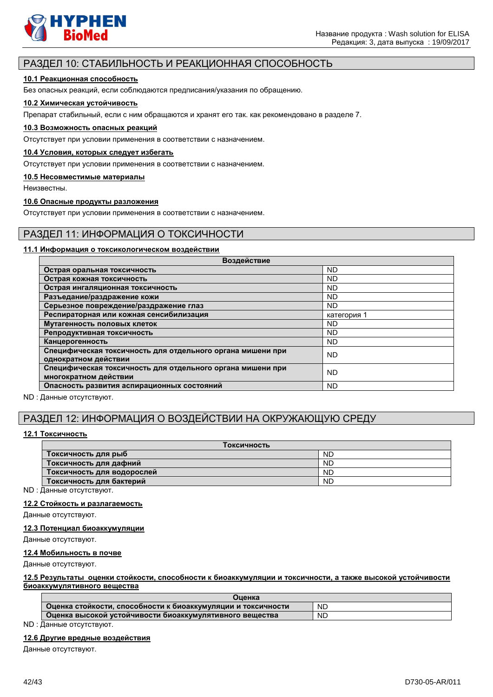

# РАЗДЕЛ 10: СТАБИЛЬНОСТЬ И РЕАКЦИОННАЯ СПОСОБНОСТЬ

# **10.1 Реакционная способность**

Без опасных реакций, если соблюдаются предписания/указания по обращению.

# **10.2 Химическая устойчивость**

Препарат стабильный, если с ним обращаются и хранят его так. как рекомендовано в разделе 7.

# **10.3 Возможность опасных реакций**

Отсутствует при условии применения в соответствии с назначением.

### **10.4 Условия, которых следует избегать**

Отсутствует при условии применения в соответствии с назначением.

#### **10.5 Несовместимые материалы**

Неизвестны.

### **10.6 Опасные продукты разложения**

Отсутствует при условии применения в соответствии с назначением.

# РАЗДЕЛ 11: ИНФОРМАЦИЯ О ТОКСИЧНОСТИ

# **11.1 Информация о токсикологическом воздействии**

| Воздействие                                                                         |             |  |
|-------------------------------------------------------------------------------------|-------------|--|
| Острая оральная токсичность                                                         | <b>ND</b>   |  |
| Острая кожная токсичность                                                           | <b>ND</b>   |  |
| Острая ингаляционная токсичность                                                    | ND.         |  |
| Разъедание/раздражение кожи                                                         | <b>ND</b>   |  |
| Серьезное повреждение/раздражение глаз                                              | ND.         |  |
| Респираторная или кожная сенсибилизация                                             | категория 1 |  |
| Мутагенность половых клеток                                                         | <b>ND</b>   |  |
| Репродуктивная токсичность                                                          | <b>ND</b>   |  |
| Канцерогенность                                                                     | ND.         |  |
| Специфическая токсичность для отдельного органа мишени при<br>однократном действии  | <b>ND</b>   |  |
| Специфическая токсичность для отдельного органа мишени при<br>многократном действии | <b>ND</b>   |  |
| Опасность развития аспирационных состояний                                          | <b>ND</b>   |  |

ND : Данные отсутствуют.

# РАЗДЕЛ 12: ИНФОРМАЦИЯ О ВОЗДЕЙСТВИИ НА ОКРУЖАЮЩУЮ СРЕДУ

# **12.1 Токсичность**

| Токсичность                |           |
|----------------------------|-----------|
| Токсичность для рыб        | <b>ND</b> |
| Токсичность для дафний     | <b>ND</b> |
| Токсичность для водорослей | <b>ND</b> |
| Токсичность для бактерий   | <b>ND</b> |

ND : Данные отсутствуют.

### **12.2 Стойкость и разлагаемость**

Данные отсутствуют.

#### **12.3 Потенциал биоаккумуляции**

Данные отсутствуют.

# **12.4 Мобильность в почве**

Данные отсутствуют.

**12.5 Результаты оценки стойкости, способности к биоаккумуляции и токсичности, а также высокой устойчивости биоаккумулятивного вещества** 

| Оценка                                                       |           |
|--------------------------------------------------------------|-----------|
| Оценка стоикости, способности к биоаккумуляции и токсичности | <b>ND</b> |
| Оценка высокой устойчивости биоаккумулятивного вещества      | <b>ND</b> |

ND : Данные отсутствуют.

#### **12.6 Другие вредные воздействия**

Данные отсутствуют.